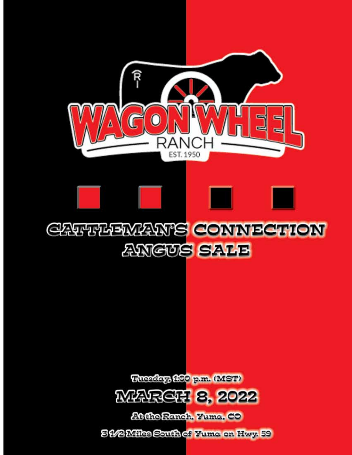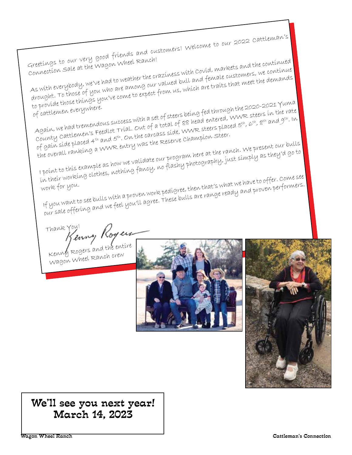Greetings to our very good friends and customers! Welcome to our 2022 Cattleman's Connection Sale at the Wagon Wheel Ranch! As with everybody, we've had to weather the craziness with Covid, markets and the continued drought. To those of you who are among our valued bull and female customers, we continue to provide those things you've come to expect from us, which are traits that meet the demands<br>of cattlemen everywhere. co provocio<br>of cattlemen everywhere. o provide those things b<br>of cattlemen everywhere.<br>Again, we had tremendous success with a set of steers being fed through the 2020-2021 Yuma<br>Again, we had tremendous success with a set of steers being fed through the 2020-County Cattlemen's Feedlot Trial. Out of a total of 88 head entered, WWR steers in the rate of gain side placed 4th and 5th. On the carcass side, WWR steers placed 5th, 6th, 8th and 9th. In the overall ranking a WWR entry was the Reserve Champion Steer. I point to this example as how we validate our program here at the ranch. We present our bulls in their working clothes, nothing fancy, no flashy photography, just simply as they'd go to<br>in their working clothes, nothing fancy, no flashy photography, just simply as they'd go to<br>digree then that's what we have to off work for you. , their working cloches,<br>vork for you.<br>If you want to see bulls with a proven work pedigree, then that's what we have to offer. Come see<br>If you want to see bulls with a proven work pedigree. These bulls are range ready and our sale offering and we feel you'll agree. These bulls are range ready and proven performers.

Thank You!<br>Kenny Royers

Kenny Rogers and the entire Wagon Wheel Ranch crew





## We'll see you next year! March 14, 2023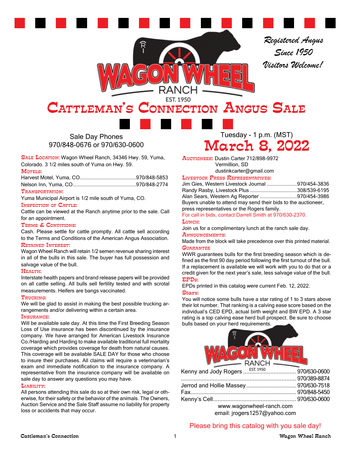*Registered Angus Since 1950 Visitors Welcome!*

## EST. 1950 CATTLEMAN'S CONNECTION ANGUS SALE

Sale Day Phones 970/848-0676 or 970/630-0600

SALE LOCATION: Wagon Wheel Ranch, 34346 Hwy. 59, Yuma, Colorado. 3 1/2 miles south of Yuma on Hwy. 59.

#### Motels:

#### Transportation:

Yuma Municipal Airport is 1/2 mile south of Yuma, CO.

#### INSPECTION OF CATTLE:

Cattle can be viewed at the Ranch anytime prior to the sale. Call for an appointment.

#### Terms & Conditions:

Cash. Please settle for cattle promptly. All cattle sell according to the Terms and Conditions of the American Angus Association.

#### Retained Interest:

Wagon Wheel Ranch will retain 1/2 semen revenue sharing interest in all of the bulls in this sale. The buyer has full possession and salvage value of the bull.

#### Health:

Interstate health papers and brand release papers will be provided on all cattle selling. All bulls sell fertility tested and with scrotal measurements. Heifers are bangs vaccinated.

#### Trucking:

We will be glad to assist in making the best possible trucking arrangements and/or delivering within a certain area.

#### Insurance:

Will be available sale day. At this time the First Breeding Season Loss of Use insurance has been discontinued by the insurance company. We have arranged for American Livestock Insurance Co./Harding and Harding to make available traditional full mortality coverage which provides coverage for death from natural causes. This coverage will be available SALE DAY for those who choose to insure their purchases. All claims will require a veterinarian's exam and immediate notification to the insurance company. A representative from the insurance company will be available on sale day to answer any questions you may have.

#### Liability:

All persons attending this sale do so at their own risk, legal or otherwise, for their safety or the behavior of the animals. The Owners, Auction Service and the Sale Staff assume no liability for property loss or accidents that may occur.

Tuesday - 1 p.m. (MST) March 8, 2022

Auctioneer: Dustin Carter 712/898-9972 Vermillion, SD

#### dustinkcarter@gmail.com

Livestock Press Representatives:

Jim Gies, Western Livestock Journal .....................970/454-3836 Randy Rasby, Livestock Plus .................................308/539-6195 Alan Sears, Western Ag Reporter ..........................970/454-3986 Buyers unable to attend may send their bids to the auctioneer, press representatives or the Rogers family.

For call in bids, contact Darrell Smith at 970/630-2370.

#### LUNCH:

Join us for a complimentary lunch at the ranch sale day.

Announcements:

Made from the block will take precedence over this printed material. **GUARANTEE** 

WWR guarantees bulls for the first breeding season which is defined as the first 90 day period following the first turnout of the bull. If a replacement is available we will work with you to do that or a credit given for the next year's sale, less salvage value of the bull. EPDs:

EPDs printed in this catalog were current Feb. 12, 2022. Stars:

You will notice some bulls have a star rating of 1 to 3 stars above their lot number. That ranking is a calving ease score based on the individual's CED EPD, actual birth weight and BW EPD. A 3 star rating is a top calving ease herd bull prospect. Be sure to choose bulls based on your herd requirements.



| www.wagonwheel-ranch.com                                                                                                                                         |  |
|------------------------------------------------------------------------------------------------------------------------------------------------------------------|--|
| $\mathbf{A} \cap \mathbf{B}$ and $\mathbf{A} \cap \mathbf{B}$ and $\mathbf{A} \cap \mathbf{B}$ and $\mathbf{A} \cap \mathbf{B}$ and $\mathbf{A} \cap \mathbf{B}$ |  |

email: jrogers1257@yahoo.com

#### Please bring this catalog with you sale day!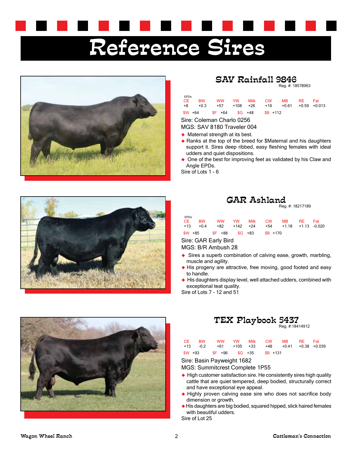# Reference Sires



## SAV Rainfall 9846

Reg. #: 18578963

| <b>EPDs</b> |           |                           |    |            |             |      |              |
|-------------|-----------|---------------------------|----|------------|-------------|------|--------------|
| CE.         | <b>BW</b> | <b>WW</b>                 | YW | Milk CW    | MB.         | RF - | Fat          |
| +8          | $+0.3$    | +57 +108 +26              |    |            | $+19 +0.61$ |      | +0.59 +0.013 |
|             |           | \$W +64 \$F +64 \$G +48   |    | $SB + 112$ |             |      |              |
|             |           | Ciro: Colomon Charla 0256 |    |            |             |      |              |

Sire: Coleman Charlo 0256

MGS: SAV 8180 Traveler 004

- ◆ Maternal strength at its best.
- ◆ Ranks at the top of the breed for \$Maternal and his daughters support it. Sires deep ribbed, easy fleshing females with ideal udders and quiet dispositions.
- ◆ One of the best for improving feet as validated by his Claw and Angle EPDs.

Sire of Lots 1 - 6



| GAR Ashland |                 |
|-------------|-----------------|
|             | $D_{1} = 40017$ |

|  |  | Reg. #: 18217189 |
|--|--|------------------|
|--|--|------------------|

| <b>EPDs</b> | CE BW | WW YW Milk CW MB RE Fat                      |  |  |  |
|-------------|-------|----------------------------------------------|--|--|--|
|             |       | +13 +0.4 +82 +142 +24 +54 +1.18 +1.13 -0.020 |  |  |  |
|             |       | \$W +85 \$F +88 \$G +83 \$B +170             |  |  |  |

Sire: GAR Early Bird

MGS: B/R Ambush 28

- ◆ Sires a superb combination of calving ease, growth, marbling, muscle and agility.
- ◆ His progeny are attractive, free moving, good footed and easy to handle.
- His daughters display level, well attached udders, combined with exceptional teat quality.

Sire of Lots 7 - 12 and 51





|  | CE BW WW YW Milk CW MB RE Fat                                                                          |  |  |  |
|--|--------------------------------------------------------------------------------------------------------|--|--|--|
|  | $+13$ $-0.2$ $+61$ $+105$ $+33$ $+48$ $+0.41$ $+0.38$ $+0.039$<br>$$W +93$ $$F +96$ $$G +35$ $$B +131$ |  |  |  |

Sire: Basin Payweight 1682

MGS: Summitcrest Complete 1P55

- $\blacklozenge$  High customer satisfaction sire. He consistently sires high quality cattle that are quiet tempered, deep bodied, structurally correct and have exceptional eye appeal.
- ◆ Highly proven calving ease sire who does not sacrifice body dimension or growth.
- ◆ His daughters are big bodied, squared hipped, slick haired females with beautiful udders.

Sire of Lot 25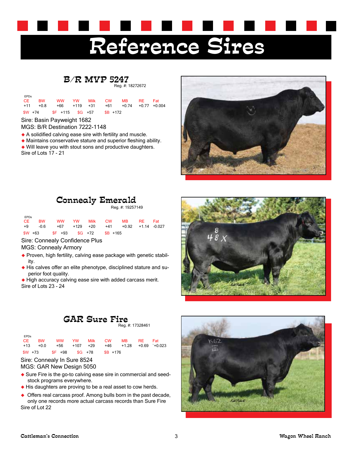## Reference Sires

#### B/R MVP 5247 Reg. #: 18272672

| <b>EPDs</b> | CE BW | WW YW Milk CW<br>+11 +0.8 +66 +119 +31 +61 +0.74 +0.77 +0.004 |  |  | MB RE Fat |  |
|-------------|-------|---------------------------------------------------------------|--|--|-----------|--|
|             |       | $$W + 74$ $$F + 115$ $$G + 57$ $$B + 172$                     |  |  |           |  |

#### Sire: Basin Payweight 1682

MGS: B/R Destination 7222-1148

- A solidified calving ease sire with fertility and muscle.
- Maintains conservative stature and superior fleshing ability.
- Will leave you with stout sons and productive daughters. Sire of Lots 17 - 21



## Connealy Emerald

Reg. #: 19257149

| <b>EPDs</b> |  |  |                                      | CE BW WW YW Milk CW MB RE Fat               |  |  |
|-------------|--|--|--------------------------------------|---------------------------------------------|--|--|
|             |  |  |                                      | +9 -0.6 +67 +129 +20 +41 +0.92 +1.14 -0.027 |  |  |
|             |  |  | $$W +63$ $$F +93$ $$G +72$ $$B +165$ |                                             |  |  |

Sire: Connealy Confidence Plus

MGS: Connealy Armory

- ◆ Proven, high fertility, calving ease package with genetic stability.
- His calves offer an elite phenotype, disciplined stature and superior foot quality.
- High accuracy calving ease sire with added carcass merit. Sire of Lots 23 - 24

## GAR Sure Fire

Reg. #: 17328461

| <b>EPDs</b> |                                              |  |  |  |
|-------------|----------------------------------------------|--|--|--|
|             | CE BW WW YW Milk CW MB RE Fat                |  |  |  |
|             | +13 +0.0 +56 +107 +29 +46 +1.28 +0.69 +0.023 |  |  |  |
|             | $$W + 73$ $$F + 98$ $$G + 78$ $$B + 176$     |  |  |  |

#### Sire: Connealy In Sure 8524 MGS: GAR New Design 5050

- ◆ Sure Fire is the go-to calving ease sire in commercial and seedstock programs everywhere.
- $\blacklozenge$  His daughters are proving to be a real asset to cow herds.
- ◆ Offers real carcass proof. Among bulls born in the past decade, only one records more actual carcass records than Sure Fire Sire of Lot 22

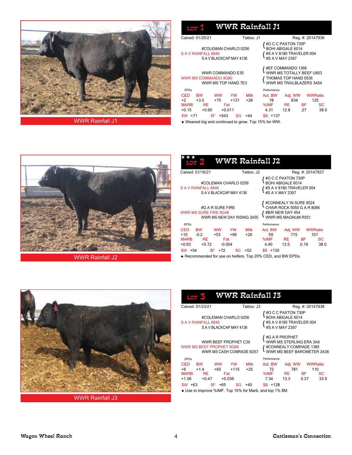

| Calved: 01/25/21                                                                                              |                                         | Tattoo: J1                                                                             |                                                   |                                                  |                  | Reg. #: 20147936             |
|---------------------------------------------------------------------------------------------------------------|-----------------------------------------|----------------------------------------------------------------------------------------|---------------------------------------------------|--------------------------------------------------|------------------|------------------------------|
| #COLEMAN CHARLO 0256<br>S A V RAINFALL 6846<br>SAVBLACKCAPMAY4136                                             |                                         | #O C C PAXTON 730P<br>BOHI ABIGALE 6014<br>#S A V 8180 TRAVELER 004<br>#S A V MAY 2397 |                                                   |                                                  |                  |                              |
| <b>WWR COMMANDO E35</b><br><b>WWR MS COMMANDO 9G80</b><br>WWR MS TOP HAND 7E3                                 |                                         |                                                                                        | ' #EF COMMANDO 1366<br>· WWR MS TOTALLY BEEF U853 | THOMAS TOP HAND 0536<br>WWR MS TRAILBLAZERS 3A54 |                  |                              |
| <b>FPDs</b><br>CED.<br>ww<br><b>BW</b><br>$+2$<br>$+3.0$<br>$+75$<br><b>MARB</b><br>RE.<br>$+0.15$<br>$+0.60$ | <b>YW</b><br>$+1.31$<br>Fat<br>$+0.011$ | Milk<br>+28                                                                            | Performance<br>Act. BW<br>78<br>%IMF<br>4.31      | Adj. WW<br>834<br>RE.<br>12.8                    | <b>BF</b><br>.27 | WWRatio<br>125<br>SC<br>38.0 |
| \$F.<br>$SW + 71$<br>+943                                                                                     | \$G.                                    | $+44$                                                                                  | $SB + 137$                                        |                                                  |                  |                              |



WWR Rainfall J2

| <b>LOT</b>                                                                                                                                                            |                                                |           |     | <b>WWR Rainfall J2</b> |      |             |                                                                                                |                  |           |
|-----------------------------------------------------------------------------------------------------------------------------------------------------------------------|------------------------------------------------|-----------|-----|------------------------|------|-------------|------------------------------------------------------------------------------------------------|------------------|-----------|
| Calved: 01/16/21                                                                                                                                                      |                                                |           |     | Tattoo: J2             |      |             |                                                                                                | Reg. #: 20147937 |           |
| #O C C PAXTON 730P<br><b>BOHI ABIGALE 6014</b><br>#COLEMAN CHARLO 0256<br>S A V RAINFALL 6846<br>#S A V 8180 TRAVELER 004<br>#S A V MAY 2397<br>SAV BLACKCAP MAY 4136 |                                                |           |     |                        |      |             |                                                                                                |                  |           |
| WWR MS SURE FIRE 9G48                                                                                                                                                 | #G A R SURE FIRE<br>WWR MS NEW DAY RISING 3A55 |           |     |                        |      |             | #CONNEALY IN SURE 8524<br>CHAIR ROCK 5050 G A R 8086<br>#B/R NEW DAY 454<br>WWR MS MAGNUM R551 |                  |           |
| <b>EPDs</b>                                                                                                                                                           |                                                |           |     |                        |      | Performance |                                                                                                |                  |           |
| CED.<br><b>BW</b>                                                                                                                                                     | <b>WW</b>                                      | <b>YW</b> |     | <b>Milk</b>            |      | Act. BW     | Adj. WW                                                                                        |                  | WWRatio   |
| $+10$<br>$-0.2$                                                                                                                                                       | $+53$                                          |           | +99 | $+26$                  |      | 59          | 715                                                                                            |                  | 101       |
| <b>MARB</b>                                                                                                                                                           | <b>RE</b>                                      | Fat       |     |                        |      |             | %IMF RE BF                                                                                     |                  | <b>SC</b> |
| $+0.63$                                                                                                                                                               | $+0.72$                                        | $-0.004$  |     |                        | 4.40 |             | 13.5                                                                                           | 0.18             | 38.0      |
| $$W + 54$                                                                                                                                                             | \$F.                                           | $+72$     | \$G | $+52$                  |      | $SB + 130$  |                                                                                                |                  |           |
| Decemmended for use on beifers. Top 20%, CED, and RW EDDs                                                                                                             |                                                |           |     |                        |      |             |                                                                                                |                  |           |

hended for use on heifers. Top 20% CED, and BW EPDs.



WWR Rainfall J3

| L'OTT                                                                                                                                                                             | <b>WWR Rainfall J3</b>                                |                      |                                  |                        |                                      |            |
|-----------------------------------------------------------------------------------------------------------------------------------------------------------------------------------|-------------------------------------------------------|----------------------|----------------------------------|------------------------|--------------------------------------|------------|
| Calved: 01/23/21                                                                                                                                                                  |                                                       | Tattoo: J3           |                                  |                        | Reg. #: 20147938                     |            |
| #O C C PAXTON 730P<br>BOHI ABIGALE 6014<br>#COLEMAN CHARLO 0256<br>S A V RAINFALL 6846<br><b>{</b> #S A V 8180 TRAVELER 004<br>{ #S A V MAY 2397<br>SAV BLACKCAP MAY 4136         |                                                       |                      |                                  |                        |                                      |            |
| #G A R PROPHET<br>WWR MS STERLING ERA 3A9<br>WWR BEEF PROPHET C30<br>WWR MS BEEF PROPHET 9G66<br>#CONNEALY COMRADE 1385<br>WWR MS BEEF BAROMETER 3A36<br>WWR MS CASH COMRADE 6D57 |                                                       |                      |                                  |                        |                                      |            |
| <b>FPDs</b>                                                                                                                                                                       |                                                       |                      | Performance                      |                        |                                      |            |
| <b>CED</b><br><b>BW</b><br>$+6$<br>$+1.4$<br><b>MARB</b><br><b>RE</b><br>$+1.06$<br>$+0.47$                                                                                       | <b>WW</b><br>YW<br>$+65$<br>$+115$<br>Fat<br>$+0.036$ | <b>Milk</b><br>$+25$ | Act. BW<br>72<br>%IMF RE<br>7.34 | Adj. WW<br>781<br>13.3 | <b>WWRatio</b><br>110<br>BF.<br>0.37 | SС<br>33.5 |
| $SW +63$                                                                                                                                                                          | \$F .<br>$+65$<br>\$G                                 | $+40$                | $SB + 128$                       |                        |                                      |            |
| ♦ Use to improve %IMF. Top 10% for Marb, and top 1% \$M.                                                                                                                          |                                                       |                      |                                  |                        |                                      |            |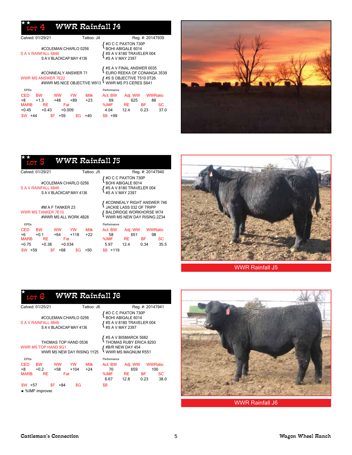### WWR Rainfall J4

★★

| Calved: 01/29/21                                                                                                                                                                              | Tattoo: J4                                                  |                                                                   |                               | Reg. #: 20147939  |                                           |
|-----------------------------------------------------------------------------------------------------------------------------------------------------------------------------------------------|-------------------------------------------------------------|-------------------------------------------------------------------|-------------------------------|-------------------|-------------------------------------------|
| #COLEMAN CHARLO 0256<br>S A V RAINFALL 6846<br>SAV BLACKCAP MAY 4136                                                                                                                          |                                                             | #O C C PAXTON 730P<br><b>BOHI ABIGALE 6014</b><br>#S A V MAY 2397 | #S A V 8180 TRAVELER 004      |                   |                                           |
| #S A V FINAL ANSWER 0035<br>EURO REEKA OF CONANGA 3539<br>#CONNEALY ANSWER 71<br><b>WWR MS ANSWER 7E22</b><br>#S S OBJECTIVE T510 0T26<br>WWR MS P3 CERES S641<br>#WWR MS NICE OBJECTIVE W913 |                                                             |                                                                   |                               |                   |                                           |
| <b>EPDs</b>                                                                                                                                                                                   |                                                             | Performance                                                       |                               |                   |                                           |
| <b>CED</b><br><b>BW</b><br><b>WW</b><br>+8<br>$+1.3$<br>$+48$<br><b>MARB</b><br><b>RE</b><br>$+0.45$<br>$+0.43$                                                                               | <b>YW</b><br><b>Milk</b><br>+89<br>$+23$<br>Fat<br>$+0.009$ | Act. BW<br>69<br>%IMF<br>4.04                                     | Adj. WW<br>625<br>RE.<br>12.4 | <b>BF</b><br>0.23 | <b>WWRatio</b><br>88<br><b>SC</b><br>37.0 |
| \$F<br>\$W .<br>$+59$<br>$+44$                                                                                                                                                                | \$G<br>$+40$                                                | $$B +99$                                                          |                               |                   |                                           |



#### WWR Rainfall J5 ★★

|                             | Performance                                                                            |                    |                 |                                                                                                                                                                                                                                               |
|-----------------------------|----------------------------------------------------------------------------------------|--------------------|-----------------|-----------------------------------------------------------------------------------------------------------------------------------------------------------------------------------------------------------------------------------------------|
| <b>Milk</b><br>$+22$<br>+50 | Act. BW<br>58<br>%IMF<br>5.97<br>$SB + 119$                                            | 651<br>RE.<br>12.4 | BF.<br>0.34     | <b>SC</b><br>35.5                                                                                                                                                                                                                             |
|                             | #COLEMAN CHARLO 0256<br>SAV BLACKCAP MAY 4136<br>#WWR MS ALL WORK 4B28<br>$+118$<br>SG | Tattoo: J5         | #S A V MAY 2397 | Reg. #: 20147940<br>#O C C PAXTON 730P<br>BOHI ABIGALE 6014<br>$\int$ #S A V 8180 TRAVELER 004<br>#CONNEALY RIGHT ANSWER 746<br>JACKIE LASS 032 OF TRIPP<br>BALDRIDGE WORKHORSE W74<br>WWR MS NEW DAY RISING 2Z34<br>WWRatio<br>Adj. WW<br>98 |



WWR Rainfall J5

| <b>LOT</b>                        | e                         |                                                                           |                     |                      | <b>WWR Rainfall J6</b>        |                                                                                               |                   |                              |
|-----------------------------------|---------------------------|---------------------------------------------------------------------------|---------------------|----------------------|-------------------------------|-----------------------------------------------------------------------------------------------|-------------------|------------------------------|
|                                   | Calved: 01/25/21          |                                                                           |                     | Tattoo: J6           |                               |                                                                                               |                   | Reg. #: 20147941             |
|                                   | S A V RAINFALL 6846       | #COLEMAN CHARLO 0256<br>SAV BLACKCAP MAY 4136                             |                     |                      |                               | #O C C PAXTON 730P<br><b>BOHI ABIGALE 6014</b><br>#S A V 8180 TRAVELER 004<br>#S A V MAY 2397 |                   |                              |
|                                   |                           | THOMAS TOP HAND 0536<br>WWR MS TOP HAND 9G1<br>WWR MS NEW DAY RISING 1Y25 |                     |                      |                               | #S A V BISMARCK 5682<br>THOMAS RUBY ERICA 8293<br>#B/R NEW DAY 454<br>WWR MS MAGNUM R551      |                   |                              |
| <b>FPDs</b>                       |                           |                                                                           |                     |                      | Performance                   |                                                                                               |                   |                              |
| <b>CED</b><br>$+8$<br><b>MARB</b> | <b>BW</b><br>$+0.2$<br>RE | <b>WW</b><br>+58<br>Fat                                                   | <b>YW</b><br>$+104$ | <b>Milk</b><br>$+24$ | Act. BW<br>70<br>%IMF<br>6.67 | Adj. WW<br>659<br>-RE<br>12.8                                                                 | <b>BF</b><br>0.23 | WWRatio<br>100<br>SС<br>38.0 |
| $$W + 57$                         |                           | \$F<br>+84                                                                | \$G                 |                      | \$B                           |                                                                                               |                   |                              |
|                                   | ◆ %IMF improver.          |                                                                           |                     |                      |                               |                                                                                               |                   |                              |



WWR Rainfall J6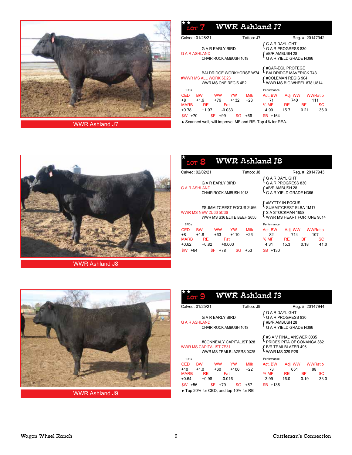

WWR Ashland J7

| <b>Top W</b>                            | <b>WWR Ashland J7</b>                                  |                      |                       |                                                                                                          |                       |      |
|-----------------------------------------|--------------------------------------------------------|----------------------|-----------------------|----------------------------------------------------------------------------------------------------------|-----------------------|------|
| Calved: 01/28/21                        |                                                        | Tattoo: J7           |                       |                                                                                                          | Reg. #: 20147942      |      |
| <b>GARASHLAND</b>                       | G A R EARLY BIRD<br>CHAIR ROCK AMBUSH 1018             |                      | <b>G A R DAYLIGHT</b> | A R PROGRESS 830<br>{ #B/R AMBUSH 28<br>{ G A R YIELD GRADE N366                                         |                       |      |
| #WWR MS ALL WORK 6D23                   | <b>BALDRIDGE WORKHORSE W74</b><br>WWR MS ONE REGIS 4B2 |                      |                       | #GAR-EGL PROTEGE<br><b>BALDRIDGE MAVERICK T43</b><br>f #COLEMAN REGIS 904<br>I WWR MS BIG WHEEL 878 U814 |                       |      |
| <b>FPDs</b>                             |                                                        |                      | Performance           |                                                                                                          |                       |      |
| <b>CED</b><br><b>BW</b><br>+8<br>$+1.6$ | <b>WW</b><br><b>YW</b><br>$+76$<br>$+132$              | <b>Milk</b><br>$+23$ | Act. BW<br>71         | Adj. WW<br>740                                                                                           | <b>WWRatio</b><br>111 |      |
| <b>MARB</b><br>RE.                      | Fat                                                    |                      | %IMF                  | <b>RE</b>                                                                                                | <b>BF</b>             | SC   |
| $+0.78$<br>$+1.07$                      | $-0.033$                                               |                      | 4.99                  | 15.7                                                                                                     | 0.21                  | 36.0 |
| \$W.<br>$+70$                           | \$F.<br>+99                                            | +66<br>\$G           | $SB + 164$            |                                                                                                          |                       |      |

Scanned well, will improve IMF and RE. Top 4% for REA.

大



WWR Ashland J8

| L OT                                                                               | WWR Ashland J8                                        |                      |            |                                                    |                                                                                            |                   |                                     |
|------------------------------------------------------------------------------------|-------------------------------------------------------|----------------------|------------|----------------------------------------------------|--------------------------------------------------------------------------------------------|-------------------|-------------------------------------|
| Calved: 02/02/21                                                                   |                                                       |                      | Tattoo: J8 |                                                    |                                                                                            | Reg. #: 20147943  |                                     |
| G A R ASHLAND                                                                      | <b>GAREARLY BIRD</b><br>CHAIR ROCK AMBUSH 1018        |                      |            | $\mathop{{\mathfrak {l}}}\nolimits$ G A R DAYLIGHT | G A R PROGRESS 830<br>#B/R AMBUSH 28<br>G A R YIELD GRADE N366                             |                   |                                     |
| WWR MS NEW 2U66 5C36                                                               | #SUMMITCREST FOCUS 2U66<br>WWR MS S36 ELITE BEEF S656 |                      |            |                                                    | #MYTTY IN FOCUS<br>SUMMITCREST ELBA 1M17<br>S A STOCKMAN 1658<br>WWR MS HEART FORTUNE 9014 |                   |                                     |
| <b>EPDs</b>                                                                        |                                                       |                      |            | Performance                                        |                                                                                            |                   |                                     |
| CED<br><b>BW</b><br>$+8$<br>$+1.8$<br><b>MARB</b><br><b>RE</b><br>+0.62<br>$+0.82$ | <b>WW</b><br>YW<br>$+110$<br>$+63$<br>Fat<br>$+0.003$ | <b>Milk</b><br>$+26$ |            | Act. BW<br>82<br>%IMF<br>4.31                      | Adj. WW<br>714<br><b>RE</b><br>15.3                                                        | <b>BF</b><br>0.18 | <b>WWRatio</b><br>107<br>SС<br>41.0 |
| \$W<br>+64                                                                         | \$F.<br>+78                                           | \$G<br>+53           |            | $$B + 130$                                         |                                                                                            |                   |                                     |



WWR Ashland J9

| WWR Ashland J9<br>LOT                                                                                                                                                                                                                                                       |                                                                                                                                                                   |  |  |  |  |  |  |  |
|-----------------------------------------------------------------------------------------------------------------------------------------------------------------------------------------------------------------------------------------------------------------------------|-------------------------------------------------------------------------------------------------------------------------------------------------------------------|--|--|--|--|--|--|--|
| Calved: 01/25/21<br>Tattoo: J9                                                                                                                                                                                                                                              | Reg. #: 20147944                                                                                                                                                  |  |  |  |  |  |  |  |
| G A R EARLY BIRD<br><b>G A R ASHLAND</b><br>CHAIR ROCK AMBUSH 1018                                                                                                                                                                                                          | G A R DAYLIGHT<br>G A R PROGRESS 830<br>#B/R AMBUSH 28<br>G A R YIELD GRADE N366                                                                                  |  |  |  |  |  |  |  |
| #CONNEALY CAPITALIST 028<br><b>WWR MS CAPITALIST 7E31</b><br>WWR MS TRAILBLAZERS 0X25                                                                                                                                                                                       | #S A V FINAL ANSWER 0035<br>PRIDES PITA OF CONANGA 8821<br><b>B/R TRAILBLAZER 496</b><br>WWR MS 029 P26                                                           |  |  |  |  |  |  |  |
| <b>FPDs</b><br>CED.<br><b>BW</b><br><b>WW</b><br><b>YW</b><br>Milk<br>$+10$<br>$+1.0$<br>$+106$<br>$+60$<br>$+22$<br><b>MARB</b><br><b>RE</b><br>Fat<br>+0.64<br>$+0.98$<br>$-0.016$<br>\$F.<br>$$W + 56$<br>$+79$<br>\$G<br>$+57$<br>◆ Top 20% for CED, and top 10% for RE | Performance<br>Act. BW<br>Adj. WW<br><b>WWRatio</b><br>651<br>73<br>98<br>%IMF<br>RE <b>No.</b><br>BF.<br><b>SC</b><br>33.0<br>3.99<br>16.0<br>0.19<br>$$B + 136$ |  |  |  |  |  |  |  |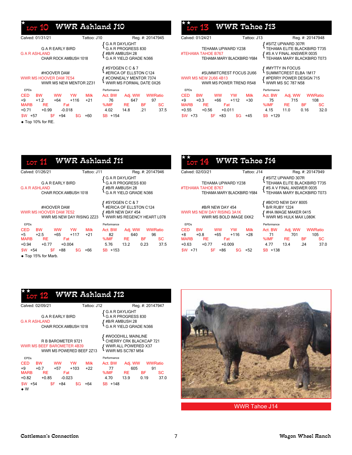## $\star$   $_{\tt LOT}$  10 WWR Ashland J10

| Calved: 01/31/21                                                | Tattoo: J10                  | Reg. #: 20147945                                                                              |
|-----------------------------------------------------------------|------------------------------|-----------------------------------------------------------------------------------------------|
| G A R EARLY BIRD<br><b>GARASHLAND</b><br>CHAIR ROCK AMBUSH 1018 |                              | G A R DAYLIGHT<br>G A R PROGRESS 830<br>#B/R AMBUSH 28<br>G A R YIELD GRADE N366              |
| #HOOVER DAM<br>WWR MS HOOVER DAM 7E54<br>WWR MS NEW MENTOR 2Z31 |                              | #SYDGEN C C & 7<br>#ERICA OF ELLSTON C124<br>#CONNEALY MENTOR 7374<br>WWR MS FORMAL DATE 0X26 |
| <b>EPDs</b>                                                     | Performance                  |                                                                                               |
| CED.<br><b>BW</b><br><b>WW</b>                                  | <b>Milk</b><br>Act. BW<br>YW | <b>WWRatio</b><br>Adj. WW                                                                     |
| $+9$<br>$+1.2$<br>$+64$                                         | $+116$<br>$+21$<br>76        | 647<br>97                                                                                     |
| <b>MARB</b><br>RE.<br>Fat                                       | %IMF                         | SC<br>RE.<br>BF                                                                               |
| $+0.71$<br>$+0.99$<br>$-0.018$                                  | 4.02                         | 37.5<br>.21<br>14.8                                                                           |
| \$F<br>$SW + 57$<br>$+94$                                       | $SB + 154$<br>+60<br>\$G     |                                                                                               |
| $\bullet$ Top 10% for RE.                                       |                              |                                                                                               |

| <b>LOT 15</b>               | <b>WWR Tahoe J13</b>                               |        |             |             |                                                                                                            |                  |                |
|-----------------------------|----------------------------------------------------|--------|-------------|-------------|------------------------------------------------------------------------------------------------------------|------------------|----------------|
| Calved: 01/24/21            |                                                    |        | Tattoo: J13 |             |                                                                                                            | Reg. #: 20147948 |                |
| #TEHAMA TAHOE B767          | TEHAMA UPWARD Y238<br>TEHAMA MARY BLACKBIRD Y684   |        |             |             | #SITZ UPWARD 307R<br>TEHAMA ELITE BLACKBIRD T735<br>#S A V FINAL ANSWER 0035<br>TEHAMA MARY BLACKBIRD T073 |                  |                |
| <b>WWR MS NEW 2U66 4B13</b> | #SUMMITCREST FOCUS 2U66<br>WWR MS POWER TREND R548 |        |             |             | #MYTTY IN FOCUS<br>SUMMITCREST ELBA 1M17<br>#PERRY POWER DESIGN 715<br><b>WWR MS SC 787 N58</b>            |                  |                |
| <b>EPDs</b>                 |                                                    |        |             | Performance |                                                                                                            |                  |                |
| <b>CED</b><br><b>BW</b>     | YW<br><b>WW</b>                                    |        | <b>Milk</b> | Act. BW     | Adj. WW                                                                                                    |                  | <b>WWRatio</b> |
| +9<br>$+0.3$                | +66                                                | $+112$ | $+30$       | 75          | 715                                                                                                        |                  | 108            |
| <b>MARB</b><br>RE.          | Fat                                                |        |             | %IMF        | RE.                                                                                                        | <b>BF</b>        | SС             |
| $+0.55$<br>$+0.56$          | $+0.011$                                           |        |             | 4.15        | 11.0                                                                                                       | 0.16             | 32.0           |
| $$W + 73$                   | \$F.<br>$+83$                                      | \$G    | +45         | $$B + 129$  |                                                                                                            |                  |                |

**A 200** 

| WWR Ashland J11<br><b>LOT 14</b>                                                         |                     |                                  |                                                                                            |                    |                   |                                         |
|------------------------------------------------------------------------------------------|---------------------|----------------------------------|--------------------------------------------------------------------------------------------|--------------------|-------------------|-----------------------------------------|
| Calved: 01/26/21                                                                         | Tattoo: J11         |                                  |                                                                                            | Reg. #: 20147946   |                   | Cal                                     |
| <b>GAREARLY BIRD</b><br>G A R ASHLAND<br>CHAIR ROCK AMBUSH 1018                          |                     | {GARDAYLIGHT<br>GARPROGRESS 830  | #B/R AMBUSH 28<br><b>G A R YIELD GRADE N366</b>                                            |                    |                   | #TE                                     |
| #HOOVER DAM<br>WWR MS HOOVER DAM 7E52<br>WWR MS NEW DAY RISING 2Z23                      |                     |                                  | #SYDGEN C C & 7<br>#ERICA OF ELLSTON C124<br>#B/R NEW DAY 454<br>WWR MS REGENCY HEART L078 |                    |                   | <b>WW</b>                               |
| <b>EPDs</b>                                                                              |                     | Performance                      |                                                                                            |                    |                   | EI                                      |
| CED BW<br><b>WW</b><br>$+5$ $+2.5$<br>+65<br>MARB RE<br>Fat<br>$+0.94 +0.77$<br>$+0.004$ | YW Milk<br>+117 +21 | Act. BW<br>82<br>%IMF RE<br>5.76 | Adj. WW WWRatio<br>640<br>13.2                                                             | 96<br>BF .<br>0.23 | <b>SC</b><br>37.5 | <b>CE</b><br>$+8$<br><b>MA</b><br>$+0.$ |
| $$W + 54$<br>$F + 88$<br>\$G                                                             | $+66$               | $$B + 153$                       |                                                                                            |                    |                   | \$W                                     |
| ◆ Top 15% for Marb.                                                                      |                     |                                  |                                                                                            |                    |                   |                                         |

| <b>WWR Tahoe J14</b><br><b>LOT 14</b>                                            |                                                  |                     |                    |                               |                                                                     |                  |                                                                                                            |  |  |
|----------------------------------------------------------------------------------|--------------------------------------------------|---------------------|--------------------|-------------------------------|---------------------------------------------------------------------|------------------|------------------------------------------------------------------------------------------------------------|--|--|
| Calved: 02/03/21                                                                 |                                                  |                     | Tattoo: J14        |                               |                                                                     |                  | Reg. #: 20147949                                                                                           |  |  |
| #TEHAMA TAHOE B767                                                               | TEHAMA UPWARD Y238<br>TEHAMA MARY BLACKBIRD Y684 |                     |                    |                               |                                                                     |                  | #SITZ UPWARD 307R<br>TEHAMA ELITE BLACKBIRD T735<br>#S A V FINAL ANSWER 0035<br>TEHAMA MARY BLACKBIRD T073 |  |  |
| WWR MS NEW DAY RISING 3A1K                                                       | #B/R NEW DAY 454<br>WWR MS BOLD IMAGE 0XK2       |                     |                    | <b>B/R RUBY 1224</b>          | #BOYD NEW DAY 8005<br>#HA IMAGE MAKER 0415<br>WWR MS HULK MAX L080K |                  |                                                                                                            |  |  |
| <b>FPDs</b>                                                                      |                                                  |                     |                    | Performance                   |                                                                     |                  |                                                                                                            |  |  |
| <b>CED</b><br><b>BW</b><br>$+8$<br>$+0.8$<br><b>MARB</b><br>RE.<br>$+0.63 +0.77$ | <b>WW</b><br>+65<br>Fat<br>$+0.009$              | <b>YW</b><br>$+116$ | <b>Milk</b><br>+28 | Act. BW<br>71<br>%IMF<br>4.77 | Adj. WW<br>701<br>RE <b>No.</b><br>13.4                             | <b>BF</b><br>.24 | <b>WWRatio</b><br>105<br><b>SC</b><br>37.0                                                                 |  |  |
| \$W<br>\$F<br>$+71$                                                              | $+86$                                            | \$G                 | $+52$              | $SB + 138$                    |                                                                     |                  |                                                                                                            |  |  |

#### $_{\rm T}$  12 WWR Ashland J12 ★★

| Calved: 02/09/21                                                                    | Tattoo: J12<br>Reg. #: 20147947 |                                                                                                 |  |  |  |
|-------------------------------------------------------------------------------------|---------------------------------|-------------------------------------------------------------------------------------------------|--|--|--|
| G A R EARLY BIRD<br><b>G A R ASHLAND</b><br>CHAIR ROCK AMBUSH 1018                  |                                 | G A R DAYLIGHT<br>G A R PROGRESS 830<br>#B/R AMBUSH 28<br>G A R YIFLD GRADE N366                |  |  |  |
| R B BAROMETER 9721<br><b>WWR MS BEEF BAROMETER 4B39</b><br>WWR MS POWERED BEEF 2Z13 |                                 | #WOODHILL MAINLINE<br>CHERRY CRK BLACKCAP 721<br>WWR ALL POWERED X37<br><b>WWR MS SC787 M54</b> |  |  |  |
| <b>EPDs</b>                                                                         | Performance                     |                                                                                                 |  |  |  |
| <b>BW</b><br>CED<br><b>WW</b><br>YW                                                 | Milk<br>Act. BW                 | <b>WWRatio</b><br>Adj. WW                                                                       |  |  |  |
| +9<br>$+0.7$<br>$+57$<br>+103                                                       | 77<br>$+22$                     | 605<br>91                                                                                       |  |  |  |
| <b>MARB</b><br><b>RE</b><br>Fat<br>$+0.82$<br>$+0.85$<br>$-0.023$                   | %IMF<br>4.70                    | ВF<br>RE.<br>SC<br>37 O<br>13.9<br>0.19                                                         |  |  |  |
| \$F<br>$SW + 54$<br>+84<br>◆ W                                                      | $+148$<br>\$G<br>+64<br>SB.     |                                                                                                 |  |  |  |



WWR Tahoe J14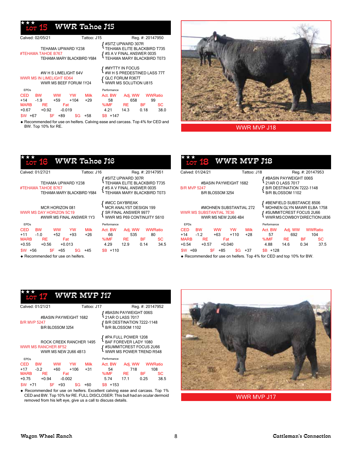#### WWR Tahoe J15 ★★★

| Calved: 02/05/21                                                                                                                      | Tattoo: J15                                                                                                | Reg. #: 20147950                                                                                                         |  |  |  |
|---------------------------------------------------------------------------------------------------------------------------------------|------------------------------------------------------------------------------------------------------------|--------------------------------------------------------------------------------------------------------------------------|--|--|--|
| TEHAMA UPWARD Y238<br>#TEHAMA TAHOE B767<br>TEHAMA MARY BLACKBIRD Y684                                                                | #SITZ UPWARD 307R<br>TEHAMA ELITE BLACKBIRD T735<br>#S A V FINAL ANSWER 0035<br>TEHAMA MARY BLACKBIRD T073 |                                                                                                                          |  |  |  |
| #W H S LIMELIGHT 64V<br><b>WWR MS IN LIMELIGHT 6D64</b><br>WWR MS BEEF FORUM 1Y24                                                     | #MYTTY IN FOCUS<br>#WHS PREDESTINED LASS 77T<br>QLC FORUM R367T<br>WWR MS SOLUTION U815                    |                                                                                                                          |  |  |  |
| <b>FPDs</b>                                                                                                                           |                                                                                                            | Performance                                                                                                              |  |  |  |
| <b>CED</b><br><b>BW</b><br>YW<br>ww<br>$+14$<br>$-1.9$<br>+59<br>$+104$<br><b>MARB</b><br>RE<br>Fat<br>$+0.92$<br>$+0.67$<br>$-0.019$ | Milk<br>$+29$                                                                                              | Act. BW<br><b>WWRatio</b><br>Adj. WW<br>99<br>658<br>58<br>%IMF<br>SC<br>ΒF<br><b>RE</b><br>14.3<br>38.0<br>4.21<br>0.18 |  |  |  |
| \$F<br>$+89$<br>\$W<br>+67                                                                                                            | +58<br>SG                                                                                                  | $SB + 147$                                                                                                               |  |  |  |

 Recommended for use on heifers. Calving ease and carcass. Top 4% for CED and BW. Top 10% for RE.



WWR MVP J18

| <b>WWR Tahoe J16</b><br><u>uon 16</u>                                         |                                                                                                            |
|-------------------------------------------------------------------------------|------------------------------------------------------------------------------------------------------------|
| Calved: 01/27/21                                                              | Tattoo: J16<br>Reg. #: 20147951                                                                            |
| TEHAMA UPWARD Y238<br>#TEHAMA TAHOE B767<br>TEHAMA MARY BLACKBIRD Y684        | #SITZ UPWARD 307R<br>TEHAMA ELITE BLACKBIRD T735<br>#S A V FINAL ANSWER 0035<br>TEHAMA MARY BLACKBIRD T073 |
| MCR HORIZON 081<br><b>WWR MS DAY HORIZON 5C19</b><br>#WWR MS FINAL ANSWER 1Y3 | #MCC DAYBREAK<br>MCR ANALYST DESIGN 199<br>SR FINAL ANSWER 9977<br>WWR MS P69 CONTINUITY S610              |
| <b>FPDs</b>                                                                   | Performance                                                                                                |
| <b>CED</b><br><b>BW</b><br><b>WW</b><br>YW<br><b>Milk</b>                     | Act. BW<br>Adj. WW<br><b>WWRatio</b>                                                                       |
| $+11 - 1.0$<br>$+52$<br>$+26$<br>$+93$<br><b>MARB</b><br>RE.<br>Fat           | 66<br>535<br>80<br>%IMF RE<br><b>BF</b><br>SС                                                              |
| $+0.55$<br>$+0.56$<br>$+0.013$                                                | 34.5<br>4.29<br>12.9<br>0.14                                                                               |
| $$W$ +56<br>\$F.<br>$+65$<br>\$G<br>+45                                       | $SB + 110$                                                                                                 |
| ◆ Recommended for use on heifers.                                             |                                                                                                            |

| WWR MYP J18<br><b>LOT 18</b>                                                            |                                                                                            |                                                                                                                   |                  |                  |      |
|-----------------------------------------------------------------------------------------|--------------------------------------------------------------------------------------------|-------------------------------------------------------------------------------------------------------------------|------------------|------------------|------|
| Calved: 01/24/21                                                                        | Tattoo: J18                                                                                |                                                                                                                   |                  | Reg. #: 20147953 |      |
| #BASIN PAYWEIGHT 1682<br><b>B/R MVP 5247</b><br>B/R BLOSSOM 3254                        | #BASIN PAYWEIGHT 006S<br>21AR O LASS 7017<br>B/R DESTINATION 7222-1148<br>B/R BLOSSOM 1102 |                                                                                                                   |                  |                  |      |
| #MOHNEN SUBSTANTIAL 272<br><b>WWR MS SUBSTANTIAL 7E36</b><br><b>WWR MS NEW 2U66 4B4</b> |                                                                                            | #BENFIELD SUBSTANCE 8506<br>MOHNEN GLYN MAWR ELBA 1758<br>#SUMMITCREST FOCUS 2U66<br>WWR MS COWBOY DIRECTION U836 |                  |                  |      |
| <b>EPDs</b>                                                                             |                                                                                            | Performance                                                                                                       |                  |                  |      |
| CED BW<br><b>WW</b><br><b>YW</b>                                                        | Milk                                                                                       | Act. BW                                                                                                           | Adj. WW          | WWRatio          |      |
| $+14$ $-1.2$<br>$+63$<br>$+110$<br><b>MARB</b><br>RE.<br>Fat                            | +28                                                                                        | 57<br>%IMF                                                                                                        | 692<br><b>RE</b> | 104<br><b>BF</b> | SС   |
| $+0.54$<br>$+0.57$<br>$+0.040$                                                          |                                                                                            | 4.88                                                                                                              | 14.6             | 0.34             | 37.5 |
| \$F  <br>$SW + 69$<br>$+85$<br>\$G                                                      | +37                                                                                        | $$B + 128$                                                                                                        |                  |                  |      |
| ◆ Recommended for use on heifers. Top 4% for CED and top 10% for BW.                    |                                                                                            |                                                                                                                   |                  |                  |      |

|                                                                                             | $\frac{1}{\text{LOT}}$ 17 WWR MYP J17 |                  |                       |             |                                                                                            |                                                                                                    |      |                |  |  |
|---------------------------------------------------------------------------------------------|---------------------------------------|------------------|-----------------------|-------------|--------------------------------------------------------------------------------------------|----------------------------------------------------------------------------------------------------|------|----------------|--|--|
|                                                                                             | Calved: 01/21/21                      |                  |                       | Tattoo: J17 |                                                                                            | Reg. #: 20147952                                                                                   |      |                |  |  |
| <b>B/R MVP 5247</b>                                                                         |                                       | B/R BLOSSOM 3254 | #BASIN PAYWEIGHT 1682 |             | #BASIN PAYWEIGHT 006S<br>21AR O LASS 7017<br>B/R DESTINATION 7222-1148<br>B/R BLOSSOM 1102 |                                                                                                    |      |                |  |  |
| <b>ROCK CREEK RANCHER 1495</b><br><b>WWR MS RANCHER 8F52</b><br><b>WWR MS NEW 2U66 4B13</b> |                                       |                  |                       |             |                                                                                            | #PA FULL POWER 1208<br>BAF FOREVER LADY 1080<br>#SUMMITCREST FOCUS 2U66<br>WWR MS POWER TREND R548 |      |                |  |  |
| <b>EPDs</b>                                                                                 |                                       |                  |                       |             | Performance                                                                                |                                                                                                    |      |                |  |  |
| <b>CED</b>                                                                                  | <b>BW</b>                             | <b>WW</b>        | YW                    | <b>Milk</b> | Act. BW                                                                                    | Adj. WW                                                                                            |      | <b>WWRatio</b> |  |  |
| $+17$                                                                                       | $-3.2$                                | $+60$            | $+106$                | $+31$       | 54                                                                                         | 718                                                                                                |      | 108            |  |  |
| <b>MARB</b>                                                                                 | RE                                    |                  | Fat                   |             | %IMF                                                                                       | RE.                                                                                                | BF   | SС             |  |  |
| $+0.75$                                                                                     | $+0.94$                               |                  | $-0.002$              | 5.74        | 17.1                                                                                       | 0.25                                                                                               | 38.5 |                |  |  |

 Recommended for use on heifers. Excellent calving ease and carcass. Top 1% CED and BW. Top 10% for RE. FULL DISCLOSER: This bull had an ocular dermoid removed from his left eye, give us a call to discuss details.

\$W +71 \$F +93 \$G +60 \$B +153



WWR MVP J17

 $\overline{1}$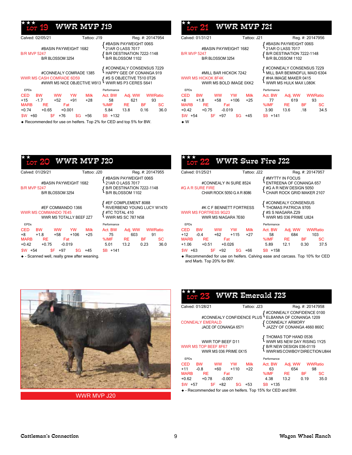#### WWR MVP J19 ★★★

| Calved: 02/05/21                                                                                                                                                                | Tattoo: J19                                                                                              | Reg. #: 20147954                                                                                                          |  |  |  |
|---------------------------------------------------------------------------------------------------------------------------------------------------------------------------------|----------------------------------------------------------------------------------------------------------|---------------------------------------------------------------------------------------------------------------------------|--|--|--|
| #BASIN PAYWEIGHT 1682<br><b>B/R MVP 5247</b><br>B/R BLOSSOM 3254                                                                                                                | #BASIN PAYWEIGHT 006S<br>21AR O LASS 7017<br>B/R DESTINATION 7222-1148<br>B/R BLOSSOM 1102               |                                                                                                                           |  |  |  |
| #CONNEALY COMRADE 1385<br><b>WWR MS CASH COMRADE 6D59</b><br>#WWR MS NICE OBJECTIVE W913                                                                                        | #CONNEALY CONSENSUS 7229<br>HAPPY GEE OF CONANGA 919<br>#S S OBJECTIVE T510 0T26<br>WWR MS P3 CERES S641 |                                                                                                                           |  |  |  |
| <b>EPDs</b>                                                                                                                                                                     |                                                                                                          | Performance                                                                                                               |  |  |  |
| CED<br>YW<br><b>BW</b><br><b>WW</b><br>$+15$<br>$-1.7$<br>$+52$<br>$+91$<br><b>MARB</b><br><b>RE</b><br>Fat<br>$+0.74$<br>$+0.65$<br>$+0.001$<br>\$F<br>+76<br>+60<br>\$G<br>sw | <b>Milk</b><br>$+28$<br>+56                                                                              | Act. BW<br>Adj. WW<br>WWRatio<br>621<br>58<br>93<br>%IMF<br>RE.<br>ВF<br>SС<br>36.0<br>5.84<br>13.8<br>0.16<br>$SB + 132$ |  |  |  |

Recommended for use on heifers. Top 2% for CED and top 5% for BW.

#### WWR MVP J21 { #Basin Payweight 006S B/R MVP 5247 **B/R DESTINATION 7222-1148**<br>B/D B/ OSSOM 3254 B*/D B*/ OSSOM 1102 #BASIN PAYWEIGHT 1682<br>B/R MVP 5247 Calved: 01/31/21 Tattoo: J21 Reg. #: 20147956 ★★

+0.42 +0.75 -0.019 3.90 13.6 .18 34.5

\$W +54 \$F +97 \$G +45 \$B +141

{ #connealy consensus 7229 { wwr ms hickok 8f4k #ha image maker 0415 B/R BLOSSOM 3254 **B/R BLOSSOM 1102** #mill bar hickok 7242 mill bar bemindful maid 6304 wwr ms bold image 0xk2 wwr ms hulk max l080k CED BW WW YW Milk Act. BW Adj. WW WWRatio +8 +1.8 +58 +106 +25 77 619 93 MARB RE Fat %IMF RE BF SC EPDs Performance

| <b>120</b>                                                                                                                             | ***<br>LOT 22 WWR Sure Fire J22                                                                                           |                                                  |                                                                                                                    |                   |
|----------------------------------------------------------------------------------------------------------------------------------------|---------------------------------------------------------------------------------------------------------------------------|--------------------------------------------------|--------------------------------------------------------------------------------------------------------------------|-------------------|
| Reg. #: 20147955                                                                                                                       | Calved: 01/25/21                                                                                                          | Tattoo: J22                                      | Reg. #: 20147957                                                                                                   |                   |
| ∫ #BASIN PAYWEIGHT 006S<br>21AR O LASS 7017<br>∫ B/R DESTINATION 7222-1148<br>B/R BLOSSOM 1102                                         | #CONNEALY IN SURE 8524<br>#G A R SURE FIRE<br>CHAIR ROCK 5050 G A R 8086                                                  |                                                  | #MYTTY IN FOCUS<br>ENTREENA OF CONANGA 657<br>#G A R NEW DESIGN 5050<br>CHAIR ROCK GRID MAKER 2107                 |                   |
| <b>∫ #EF COMPLEMENT 8088</b><br>RIVERBEND YOUNG LUCY W1470<br>$f$ #TC TOTAL 410<br>$\cdot$ WWR MS SC 787 N58                           | WWR MS FORTRESS 9G23<br>WWR MS NIAGARA 7E60                                                                               | #K C F BENNETT FORTRESS                          | #CONNEALY CONSENSUS<br>THOMAS PATRICIA 9705<br>#S S NIAGARA Z29<br>WWR MS 036 PRIME U824                           |                   |
| Performance                                                                                                                            | <b>EPDs</b>                                                                                                               |                                                  | Performance                                                                                                        |                   |
| Act. BW<br>Adj. WW<br><b>WWRatio</b><br>75<br>603<br>91<br>%IMF<br><b>BF</b><br><b>SC</b><br><b>RE</b><br>5.01<br>13.2<br>0.23<br>36.0 | <b>CED</b><br><b>BW</b><br><b>WW</b><br>$+12$<br>$+62$<br>$-0.4$<br><b>MARB</b><br><b>RE</b><br>Fat<br>$+1.06$<br>$+0.51$ | <b>Milk</b><br>YW<br>$+115$<br>$+27$<br>$+0.026$ | Act. BW<br><b>WWRatio</b><br>Adj. WW<br>684<br>58<br>103<br><b>RE</b><br>%IMF<br><b>BF</b><br>12.1<br>5.89<br>0.30 | <b>SC</b><br>37.5 |
| $SB + 141$                                                                                                                             | $$W$ +63<br>\$F  <br>$+92$                                                                                                | \$G<br>$+66$                                     | $$B + 158$                                                                                                         |                   |

 $\div\div\div$ 

W

 Recommended for use on heifers. Calving ease and carcass. Top 10% for CED and Marb. Top 20% for BW.

 $+158$ 



WWR MVP J20

|                                                                                                                                                                                                 |                                                                            |               |           |             | <u>Lor 23 WWR Emerald J23</u>                                  |                |                                                    |           |  |  |
|-------------------------------------------------------------------------------------------------------------------------------------------------------------------------------------------------|----------------------------------------------------------------------------|---------------|-----------|-------------|----------------------------------------------------------------|----------------|----------------------------------------------------|-----------|--|--|
|                                                                                                                                                                                                 | Calved: 01/28/21                                                           |               |           | Tattoo: J23 |                                                                |                | Reg. #: 20147958                                   |           |  |  |
| <b>{#CONNEALY CONFIDENCE 0100</b><br>LELBANNA OF CONANGA 1209<br>#CONNEALY CONFIDENCE PLUS<br><b>CONNEALY EMERALD</b><br>{CONNEALY ARMORY<br>JAZZY OF CONANGA 4660 860C<br>JACE OF CONANGA 6571 |                                                                            |               |           |             |                                                                |                |                                                    |           |  |  |
| WWR TOP BEEF D11<br>WWR MS TOP BEEF 8F67<br>WWR MS 036 PRIME 0X15                                                                                                                               |                                                                            |               |           |             | <b>{</b> B/R NEW DESIGN 036-0119<br>WWRMSCOWBOY DIRECTION U844 |                | THOMAS TOP HAND 0536<br>WWR MS NEW DAY RISING 1Y25 |           |  |  |
| <b>FPDs</b>                                                                                                                                                                                     |                                                                            |               |           |             | Performance                                                    |                |                                                    |           |  |  |
| <b>CED</b>                                                                                                                                                                                      | <b>BW</b>                                                                  | <b>WW</b>     | <b>YW</b> | <b>Milk</b> | Act. BW                                                        |                | Adj. WW WWRatio                                    |           |  |  |
| $+11$                                                                                                                                                                                           | $-0.8$                                                                     | $+60$         | $+110$    | +22         | 63                                                             | 654            |                                                    | 98        |  |  |
| <b>MARB</b>                                                                                                                                                                                     | RE                                                                         | Fat           |           |             | %IMF                                                           | RE <b>Note</b> | BF -                                               | <b>SC</b> |  |  |
|                                                                                                                                                                                                 | $+0.62 +0.78$                                                              | $-0.007$      |           |             | 4.38                                                           | 13.2           | 0.19                                               | 35.0      |  |  |
| \$W +57                                                                                                                                                                                         |                                                                            | \$F.<br>$+82$ | \$G       | $+53$       | $SB + 135$                                                     |                |                                                    |           |  |  |
|                                                                                                                                                                                                 | $\triangle$ - Recommended for use on beifers $\Box$ Ton 15% for CED and RW |               |           |             |                                                                |                |                                                    |           |  |  |

- Recommended for use on heifers. Top 15% for CED and BW.

## WWR MVP J20  ${B/RE}$ #BASIN PAYWEIGHT 1682 Calved: 01/29/21 Tattoo: J20 ★★

**B/R MVP 5247** B/R BLOSSOM 3254

#### #EF COMMANDO 1366 WWR MS COMMANDO 7E45 WWR MS TOTALLY BEEF 2Z7

| <b>EPDs</b>  |           |             |        |             | Performance |         |                |      |
|--------------|-----------|-------------|--------|-------------|-------------|---------|----------------|------|
| <b>CED</b>   | <b>BW</b> | ww          | YW     | <b>Milk</b> | Act. BW     | Adj. WW | <b>WWRatio</b> |      |
| $+8$         | $+1.8$    | $+58$       | $+106$ | $+25$       | 75          | 603     | 91             |      |
| <b>MARB</b>  | <b>RE</b> | Fat         |        |             | %IMF        | RE.     | ВF             | SC   |
| $+0.42$      | $+0.75$   | $-0.019$    |        |             | 5.01        | 13.2    | 0.23           | 36.0 |
| \$W<br>$+54$ |           | $+97$<br>SF | \$G -  | $+45$       | $SB + 141$  |         |                |      |

 $\triangleq$  - Scanned well, really grew after weaning.

Cattleman's Connection Wagon Wheel Ranch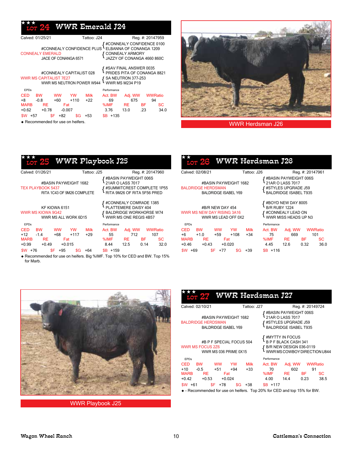#### WWR Emerald J24 ★★★

| Calved: 01/25/21                                                                                                                                                                         | Tattoo: J24                                                           | Reg. #: 20147959                                                                                                |  |  |  |  |
|------------------------------------------------------------------------------------------------------------------------------------------------------------------------------------------|-----------------------------------------------------------------------|-----------------------------------------------------------------------------------------------------------------|--|--|--|--|
| <b>CONNEALY EMERALD</b><br>JACE OF CONANGA 6571                                                                                                                                          | #CONNEALY CONFIDENCE PLUS                                             | #CONNEALY CONFIDENCE 0100<br>ELBANNA OF CONANGA 1209<br><b>{</b> CONNEALY ARMORY<br>LJAZZY OF CONANGA 4660 860C |  |  |  |  |
| #SAV FINAL ANSWER 0035<br>PRIDES PITA OF CONANGA 8821<br>#CONNEALY CAPITALIST 028<br><b>WWR MS CAPITALIST 7E27</b><br>SA NEUTRON 377-253<br>WWR MS M234 P19<br>WWR MS NEUTRON POWER W944 |                                                                       |                                                                                                                 |  |  |  |  |
| <b>FPDs</b>                                                                                                                                                                              | Performance                                                           |                                                                                                                 |  |  |  |  |
| <b>CED</b><br><b>WW</b><br>вw<br>$+8$<br>$-0.8$<br>$+60$<br><b>MARB</b><br><b>RE</b><br>Fat<br>$+0.62$<br>$+0.78$<br>$-0.007$                                                            | <b>Milk</b><br>YW<br>Act. BW<br>$+110$<br>$+22$<br>69<br>%IMF<br>3.76 | <b>WWRatio</b><br>Adj. WW<br>675<br>94<br><b>BF</b><br>SC<br>RE.<br>34.0<br>13.0<br>.23                         |  |  |  |  |
| \$F<br>$+82$<br>$+57$<br>\$W                                                                                                                                                             | $$B + 135$<br>\$G<br>+53                                              |                                                                                                                 |  |  |  |  |

Recommended for use on heifers.

Z



WWR Herdsman J26

| <u>lor 25</u> WWR Playbook J25                                                  |                |                                           |             |                                                           |                                                                                                    |                  |         |
|---------------------------------------------------------------------------------|----------------|-------------------------------------------|-------------|-----------------------------------------------------------|----------------------------------------------------------------------------------------------------|------------------|---------|
| Calved: 01/26/21                                                                |                |                                           | Tattoo: J25 |                                                           |                                                                                                    | Reg. #: 20147960 |         |
| #BASIN PAYWEIGHT 1682<br><b>TEX PLAYBOOK 5437</b><br>RITA 1C43 OF 9M26 COMPLETE |                | #BASIN PAYWEIGHT 006S<br>21AR O LASS 7017 |             | #SUMMITCREST COMPLETE 1P55<br>RITA 9M26 OF RITA 5F56 PRED |                                                                                                    |                  |         |
| KF KIOWA 6151<br>WWR MS KIOWA 9G42<br>WWR MS ALL WORK 6D15                      |                |                                           |             |                                                           | #CONNEALY COMRADE 1385<br>PLATTEMERE DAISY 404<br>BALDRIDGE WORKHORSE W74<br>WWR MS ONE REGIS 4B57 |                  |         |
| <b>EPDs</b>                                                                     |                |                                           |             | Performance                                               |                                                                                                    |                  |         |
| CED<br><b>BW</b>                                                                | <b>WW</b>      | YW                                        | <b>Milk</b> | Act. BW                                                   | Adj. WW                                                                                            |                  | WWRatio |
| $+12 - 1.4$                                                                     | +68            | $+117$                                    | +29         | 55                                                        | 712                                                                                                |                  | 107     |
| <b>MARB</b><br>RE                                                               | Fat            |                                           |             | %IMF                                                      | <b>RE</b>                                                                                          | <b>BF</b>        | SC      |
| $+0.99 +0.49$                                                                   | $+0.015$       |                                           |             | 8.44                                                      | 12.5                                                                                               | 0.14             | 32.0    |
| \$W<br>$+76$                                                                    | \$F  <br>$+95$ | \$G                                       | +64         | $$B + 159$                                                |                                                                                                    |                  |         |

 Recommended for use on heifers. Big %IMF. Top 10% for CED and BW. Top 15% for Marb.

| <b>LOT 26</b>                                                                                                                | WWR Herdsman J26                                                                                 |                                                                 |                                         |                   |                                     |
|------------------------------------------------------------------------------------------------------------------------------|--------------------------------------------------------------------------------------------------|-----------------------------------------------------------------|-----------------------------------------|-------------------|-------------------------------------|
| Calved: 02/08/21                                                                                                             | Tattoo: J26                                                                                      |                                                                 |                                         | Reg. #: 20147961  |                                     |
| #BASIN PAYWEIGHT 1682<br><b>BALDRIDGE HERDSMAN</b><br><b>BALDRIDGE ISABEL Y69</b>                                            | #BASIN PAYWEIGHT 006S<br>21AR O LASS 7017<br>#STYLES UPGRADE J59<br><b>BALDRIDGE ISABEL T935</b> |                                                                 |                                         |                   |                                     |
| #B/R NEW DAY 454<br>WWR MS NEW DAY RISING 3A16<br>WWR MS LEAD OFF 0X2                                                        | <b>B/R RUBY 1224</b>                                                                             | #BOYD NEW DAY 8005<br>#CONNEALY LEAD ON<br>WWR MISS HEADS UP N3 |                                         |                   |                                     |
| <b>FPDs</b>                                                                                                                  |                                                                                                  | Performance                                                     |                                         |                   |                                     |
| <b>CED</b><br><b>BW</b><br><b>WW</b><br>$+6$<br>$+1.0$<br>+59<br><b>MARB</b><br>RE.<br>Fat<br>$+0.46$<br>$+0.43$<br>$+0.020$ | <b>Milk</b><br><b>YW</b><br>$+108$<br>$+34$                                                      | Act. BW<br>75<br>%IMF<br>4.45                                   | Adj. WW<br>669<br>RE <b>No.</b><br>12.6 | <b>BF</b><br>0.32 | <b>WWRatio</b><br>101<br>SC<br>36.0 |
| \$F<br>\$W  <br>+69<br>$+77$                                                                                                 | \$G<br>+39                                                                                       | $SB + 116$                                                      |                                         |                   |                                     |



WWR Playbook J25

|                                                                              |           |                    |                    |               | LOT 27 WWR Herdsman J27                                                                                   |                          |                       |           |
|------------------------------------------------------------------------------|-----------|--------------------|--------------------|---------------|-----------------------------------------------------------------------------------------------------------|--------------------------|-----------------------|-----------|
| Calved: 02/10/21                                                             |           |                    |                    | Tattoo: J27   |                                                                                                           |                          | Reg. #: 20149724      |           |
| #BASIN PAYWEIGHT 1682<br><b>BALDRIDGE HERDSMAN</b><br>BALDRIDGE ISABEL Y69   |           |                    |                    |               | <b>f #BASIN PAYWEIGHT 006S</b><br>21AR O LASS 7017<br>#STYLES UPGRADE J59<br><b>BALDRIDGE ISABEL T935</b> |                          |                       |           |
| #B P F SPECIAL FOCUS 504<br><b>WWR MS FOCUS 2Z6</b><br>WWR MS 036 PRIME 0X15 |           |                    |                    |               | #MYTTY IN FOCUS<br>B P F BLACK CASH 341<br>B/R NEW DESIGN 036-0119                                        | WWRMSCOWBOYDIRECTIONU844 |                       |           |
| <b>FPDs</b>                                                                  |           |                    |                    |               | Performance                                                                                               |                          |                       |           |
| CED BW<br>$+10 - 0.5$<br><b>MARB</b>                                         | <b>RE</b> | ww<br>$+51$<br>Fat | <b>YW</b><br>$+94$ | Milk<br>$+33$ | Act. BW<br>70<br>%IMF RE BF                                                                               | 602                      | Adj. WW WWRatio<br>91 | <b>SC</b> |
| $+0.42 +0.53$                                                                |           | $+0.024$           |                    |               | 4.00                                                                                                      | 14.4                     | 0.23                  | 38.5      |
| $SW +61$                                                                     |           | $SF + 78$          | \$G                | +38           | $SB + 117$                                                                                                |                          |                       |           |
|                                                                              |           |                    |                    |               | $\triangle$ - Recommended for use on beifers Top 20% for CED and top 15% for RM                           |                          |                       |           |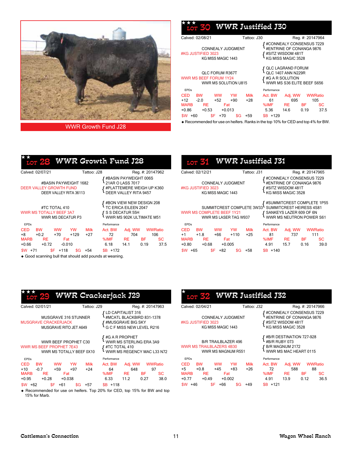

WWR Growth Fund J28

| <u>uon 30</u>                                                                   | <b>WWR Justified J30</b>                       |                      |                                      |                                                                                                 |                  |                             |
|---------------------------------------------------------------------------------|------------------------------------------------|----------------------|--------------------------------------|-------------------------------------------------------------------------------------------------|------------------|-----------------------------|
| Calved: 02/08/21                                                                |                                                | Tattoo: J30          |                                      |                                                                                                 | Reg. #: 20147964 |                             |
| #KG JUSTIFIED 3023                                                              | <b>CONNEALY JUDGMENT</b><br>KG MISS MAGIC 1443 |                      |                                      | #CONNEALY CONSENSUS 7229<br>#ENTRINE OF CONANGA 9876<br>#SITZ WISDOM 481T<br>KG MISS MAGIC 3528 |                  |                             |
| WWR MS BEEF FORUM 1Y24                                                          | <b>QLC FORUM R367T</b><br>WWR MS SOLUTION U815 |                      |                                      | <b>QLC LAGRAND FORUM</b><br>QLC 1407 ANN N229R<br>#G A R SOLUTION<br>WWR MS S36 ELITE BEEF S656 |                  |                             |
| <b>FPDs</b><br><b>CED</b><br><b>BW</b><br>$+12$<br>$-2.0$<br><b>MARB</b><br>RE. | YW<br><b>WW</b><br>$+52$<br>$+90$<br>Fat       | <b>Milk</b><br>$+28$ | Performance<br>Act. BW<br>61<br>%IMF | Adj. WW<br>695<br><b>RE</b>                                                                     | <b>BF</b>        | <b>WWRatio</b><br>105<br>SC |
| $+0.86$<br>$+0.53$<br>\$F<br>\$W<br>+60                                         | $+0.013$<br>$+70$<br>\$G                       | +59                  | 5.36<br>$SB + 129$                   | 14.6                                                                                            | 0.19             | 37.5                        |

Recommended for use on heifers. Ranks in the top 10% for CED and top 4% for BW.

| $\widehat{1\text{or 28}}$ WWR Growth Fund J28                  |                                                 |           |             |                                                 |      |                                                                         |                          |
|----------------------------------------------------------------|-------------------------------------------------|-----------|-------------|-------------------------------------------------|------|-------------------------------------------------------------------------|--------------------------|
| Calved: 02/07/21                                               |                                                 |           | Tattoo: J28 |                                                 |      | Reg. #: 20147962                                                        |                          |
| DEER VALLEY GROWTH FUND                                        | #BASIN PAYWEIGHT 1682<br>DEER VALLEY RITA 36113 |           |             | 21AR O LASS 7017<br>∫ #PLATTEMERE WEIGH UP K360 |      | f #BASIN PAYWEIGHT 006S<br>DEER VALLEY RITA 9457                        |                          |
| WWR MS TOTALLY BEEF 3A7                                        | #TC TOTAL 410<br>WWR MS DECATUR P3              |           |             | TC ERICA EILEEN 2047                            |      | #BON VIEW NEW DESIGN 208<br>S S DECATUR 55H<br>WWR MS 902K ULTIMATE M51 |                          |
| <b>EPDs</b>                                                    |                                                 |           |             | Performance                                     |      |                                                                         |                          |
| <b>CED</b><br><b>BW</b>                                        | <b>WW</b>                                       | <b>YW</b> | <b>Milk</b> | Act. BW                                         |      | Adj. WW WWRatio                                                         |                          |
| $+8$<br>$+0.2$<br><b>MARB</b><br><b>RE</b><br>+0.66<br>$+0.72$ | $+70$<br>Fat<br>-0.010                          | +129      | +27         | 72<br>%IMF RE<br>6.18                           | 14.1 | 704<br>BF -<br>0.19                                                     | 106<br><b>SC</b><br>37.5 |
| $SW +71$                                                       | $SF + 118$                                      | \$G       | +54         | $$B + 172$                                      |      |                                                                         |                          |

Good scanning bull that should add pounds at weaning.

| LOT 31 WWR Justified J31                                                                                                                                                                                |                                             |                                                                                                     |                                              |  |  |  |  |  |
|---------------------------------------------------------------------------------------------------------------------------------------------------------------------------------------------------------|---------------------------------------------|-----------------------------------------------------------------------------------------------------|----------------------------------------------|--|--|--|--|--|
| Calved: 02/12/21                                                                                                                                                                                        | Tattoo: J31                                 |                                                                                                     | Reg. #: 20147965                             |  |  |  |  |  |
| CONNEALY JUDGMENT<br>#KG JUSTIFIED 3023<br>KG MISS MAGIC 1443                                                                                                                                           |                                             | #CONNEALY CONSENSUS 7229<br>#ENTRINE OF CONANGA 9876<br>' #SITZ WISDOM 481T<br>∙ KG MISS MAGIC 3528 |                                              |  |  |  |  |  |
| #SUMMITCREST COMPLETE 1P55<br>SUMMITCREST HEIRESS 4S81<br>SUMMITCREST COMPLETE 3W33<br><b>WWR MS COMPLETE BEEF 1Y21</b><br>SANKEYS LAZER 609 OF 6N<br>WWR MS NEUTRON POWER S61<br>WWR MS LASER TAG W937 |                                             |                                                                                                     |                                              |  |  |  |  |  |
| <b>FPDs</b>                                                                                                                                                                                             |                                             | Performance                                                                                         |                                              |  |  |  |  |  |
| <b>CED</b><br><b>BW</b><br><b>WW</b><br>$+1.8$<br>$+1$<br>+66<br><b>MARB</b><br><b>RE</b><br>Fat<br>$+0.80$<br>$+0.68$<br>$+0.005$                                                                      | <b>Milk</b><br><b>YW</b><br>$+110$<br>$+25$ | Act. BW<br>Adj. WW<br>- 81<br>737<br><b>RE</b><br>%IMF<br>4.91<br>15.7                              | WWRatio<br>111<br>BF -<br>SC<br>0.16<br>39.0 |  |  |  |  |  |
| \$F<br>+65<br>+82<br>\$W.                                                                                                                                                                               | +58<br>SG                                   | $SB + 140$                                                                                          |                                              |  |  |  |  |  |

| <b>LOT 29</b>                   | WWR Crackerjack J29                              |             |                                 |         |                                                                        |                   |                        |
|---------------------------------|--------------------------------------------------|-------------|---------------------------------|---------|------------------------------------------------------------------------|-------------------|------------------------|
| Calved: 02/01/21                |                                                  | Tattoo: J29 |                                 |         | Reg. #: 20147963                                                       |                   | Сa                     |
| <b>MUSGRAVE CRACKERJACK</b>     | MUSGRAVE 316 STUNNER<br>MUSGRAVE RITO JET A649   |             | $\mathsf f$ LD CAPITALIST 316   |         | #MCATL BLACKBIRD 831-1378                                              |                   | #K                     |
| <b>WWR MS BEEF PROPHET 7E43</b> | WWR BEEF PROPHET C30<br>WWR MS TOTALLY BEEF 0X10 |             | #G A R PROPHET<br>#TC TOTAL 410 |         | WWR MS STERLING ERA 3A9<br>#IC TOTAL 4T0<br>WWR MS REGENCY MAC L33 N72 |                   | <b>WV</b>              |
| <b>EPDs</b>                     |                                                  |             | Performance                     |         |                                                                        |                   | E                      |
| CED BW                          | <b>WW</b><br><b>YW</b>                           | <b>Milk</b> | Act. BW                         | Adj. WW |                                                                        | WWRatio           | <b>CE</b>              |
| $+10 -0.7$                      | $+97$<br>+59                                     | $+24$       | 64                              | 648     |                                                                        | 97                | $+5$<br>M <sub>f</sub> |
| MARB RE<br>$+0.95 +0.28$        | Fat<br>$+0.038$                                  |             | %IMF RE BF<br>6.33              | 11.2    | 0.27                                                                   | <b>SC</b><br>38.0 | $+0$                   |
| $$W + 62$<br>\$F.               | $+61$<br>\$G                                     | +57         | $SB + 118$                      |         |                                                                        |                   | \$V                    |
|                                 |                                                  |             |                                 |         |                                                                        |                   |                        |

◆ Recommended for use on heifers. Top 20% for CED, top 15% for BW and top 15% for Marb.

| LOT 32 WWR Justified J32                                                             |                                                    |                    |                               |                                                                                                 |                                    |            |
|--------------------------------------------------------------------------------------|----------------------------------------------------|--------------------|-------------------------------|-------------------------------------------------------------------------------------------------|------------------------------------|------------|
| Calved: 02/04/21                                                                     |                                                    | Tattoo: J32        |                               |                                                                                                 | Reg. #: 20147966                   |            |
| #KG JUSTIFIED 3023                                                                   | <b>CONNEALY JUDGMENT</b><br>KG MISS MAGIC 1443     |                    |                               | #CONNEALY CONSENSUS 7229<br>#ENTRINE OF CONANGA 9876<br>#SITZ WISDOM 481T<br>KG MISS MAGIC 3528 |                                    |            |
| WWR MS TRAILBLAZERS 4B30                                                             | <b>B/R TRAILBLAZER 496</b><br>WWR MS MAGNUM R551   |                    | #B/R RUBY 073                 | #B/R DESTINATION 727-928<br>B/R MAGNUM 2172<br>WWR MS MAC HEART 0115                            |                                    |            |
| <b>FPDs</b>                                                                          |                                                    |                    | Performance                   |                                                                                                 |                                    |            |
| <b>CED</b><br><b>BW</b><br>$+5$<br>$+0.8$<br><b>MARB</b><br>RE<br>$+0.77$<br>$+0.49$ | <b>WW</b><br>YW<br>$+45$<br>+83<br>Fat<br>$+0.002$ | <b>Milk</b><br>+26 | Act. BW<br>72<br>%IMF<br>4.91 | Adj. WW<br>588<br><b>RE</b><br>13.9                                                             | WWRatio<br>88<br><b>BF</b><br>0.12 | SC<br>36.5 |
| \$F<br>\$W<br>+46                                                                    | +66<br>SG                                          | +49                | $SB + 121$                    |                                                                                                 |                                    |            |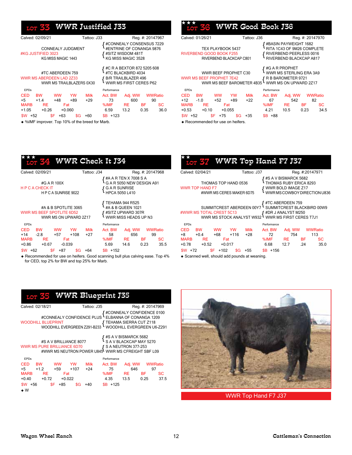## 33 WWR Justified J33

| Calved: 02/09/21                                                                                                            | Tattoo: J33          |                               |                                                                                                          | Reg. #: 20147967 |                                           |
|-----------------------------------------------------------------------------------------------------------------------------|----------------------|-------------------------------|----------------------------------------------------------------------------------------------------------|------------------|-------------------------------------------|
| <b>CONNEALY JUDGMENT</b><br>#KG JUSTIFIED 3023<br>KG MISS MAGIC 1443                                                        |                      |                               | #CONNEALY CONSENSUS 7229<br>#ENTRINE OF CONANGA 9876<br>#SITZ WISDOM 481T<br>KG MISS MAGIC 3528          |                  |                                           |
| #TC ABERDEEN 759<br><b>WWR MS ABERDEEN LAD 2Z33</b><br>WWR MS TRAILBLAZERS 0X30                                             |                      |                               | #C R A BEXTOR 872 5205 608<br>#TC BLACKBIRD 4034<br><b>B/R TRAILBLAZER 496</b><br>WWR MS FIRST CERES P62 |                  |                                           |
| <b>EPDs</b>                                                                                                                 |                      | Performance                   |                                                                                                          |                  |                                           |
| CED<br><b>BW</b><br>ww<br>YW<br>$+5$<br>$+14$<br>$+48$<br>+89<br><b>MARB</b><br>RE<br>Fat<br>$+1.05$<br>$+0.26$<br>$+0.060$ | <b>Milk</b><br>$+29$ | Act. BW<br>73<br>%IMF<br>6.59 | Adj. WW<br>600<br>RE<br>13.2                                                                             | ΒF<br>0.35       | <b>WWRatio</b><br>90<br><b>SC</b><br>36.0 |
| \$F<br>\$W .<br>$+63$<br>+52                                                                                                | +60<br>\$G           | $$B + 123$                    |                                                                                                          |                  |                                           |

%IMF improver. Top 10% of the breed for Marb.

|    |                                                                |                                                    |                  |                      | <b>WWR Good Book J36</b> |                       |                                                                                                           |                            |
|----|----------------------------------------------------------------|----------------------------------------------------|------------------|----------------------|--------------------------|-----------------------|-----------------------------------------------------------------------------------------------------------|----------------------------|
|    | Calved: 01/26/21                                               |                                                    |                  | Tattoo: J36          |                          |                       | Reg. #: 20147970                                                                                          |                            |
|    | <b>RIVERBEND GOOD BOOK F255</b>                                | TEX PLAYBOOK 5437<br>RIVERBEND BLACKCAP C801       |                  |                      |                          |                       | #BASIN PAYWEIGHT 1682<br>RITA 1C43 OF 9M26 COMPLETE<br>RIVERBEND PEERLESS 0016<br>RIVERBEND BLACKCAP A817 |                            |
|    | <b>WWR MS BEEF PROPHET 7E42</b>                                | WWR BEEF PROPHET C30<br>WWR MS BEEF BAROMETER 4B35 |                  |                      |                          | #G A R PROPHET        | WWR MS STERLING ERA 3A9<br>R B BAROMETER 9721<br>WWR MS ON UPWARD 2Z17                                    |                            |
|    | <b>EPDs</b>                                                    |                                                    |                  |                      | Performance              |                       |                                                                                                           |                            |
|    | <b>CED</b><br><b>BW</b><br>+12<br>$-1.0$<br><b>MARB</b><br>RE. | <b>WW</b><br>$+52$<br>Fat                          | <b>YW</b><br>+89 | <b>Milk</b><br>$+22$ | Act. BW<br>67<br>%IMF    | Adj. WW<br>542<br>RE. | -BF                                                                                                       | <b>WWRatio</b><br>82<br>SС |
| 0. | $+0.10$<br>$+0.53$                                             | $+0.055$                                           |                  |                      | 4.21                     | 10.5                  | 0.23                                                                                                      | 34.5                       |
|    | \$W.<br>+52                                                    | \$F.<br>$+75$                                      | \$G              | $+35$                | $SB + 88$                |                       |                                                                                                           |                            |

Recommended for use on heifers.

|              |                     |                                                                                   |              |                                                                                   | LOT 34 WWR Check It J34              |                                                        |                      |  |
|--------------|---------------------|-----------------------------------------------------------------------------------|--------------|-----------------------------------------------------------------------------------|--------------------------------------|--------------------------------------------------------|----------------------|--|
|              | Calved: 02/09/21    |                                                                                   |              | Tattoo: J34                                                                       |                                      |                                                        | Reg. #: 20147968     |  |
|              | H P C A CHECK IT    | #G A R 100X<br>HPCA SUNRISE 9022                                                  |              |                                                                                   | $\{$ G A R SUNRISE<br>HPCA 5050 L410 | { #A A R TEN X 7008 S A<br>{ G A R 5050 NEW DESIGN A91 |                      |  |
|              |                     | #A & B SPOTLITE 3065<br><b>WWR MS BEEF SPOTLITE 6D52</b><br>WWR MS ON UPWARD 2Z17 |              | TEHAMA 944 R525<br>#A & B QUEEN 1021<br>#SITZ UPWARD 307R<br>WWR MISS HEADS UP N3 |                                      |                                                        |                      |  |
| <b>EPDs</b>  |                     |                                                                                   |              |                                                                                   | Performance                          |                                                        |                      |  |
| CED<br>$+14$ | <b>BW</b><br>$-2.8$ | ww<br>+57                                                                         | YW<br>$+108$ | Milk<br>$+27$                                                                     | Act. BW<br>58                        | Adi. WW<br>656                                         | <b>WWRatio</b><br>99 |  |

MARB RE Fat %IMF RE BF SC +0.86 +0.67 -0.039 5.69 14.6 0.23 35.5 \$W +62 \$F +87 \$G +64 \$B +152

 Recommended for use on heifers. Good scanning bull plus calving ease. Top 4% for CED, top 2% for BW and top 25% for Marb.

|                                                                                                                                                                                       | $_{\rm{LOT}}$ $\rm{S}$ WWR Top Hand F7 J37           |             |                                  |  |                 |           |  |  |
|---------------------------------------------------------------------------------------------------------------------------------------------------------------------------------------|------------------------------------------------------|-------------|----------------------------------|--|-----------------|-----------|--|--|
| Calved: 02/04/21                                                                                                                                                                      |                                                      | Tattoo: J37 |                                  |  | Reg. #:20147971 |           |  |  |
| ∤ #S A V BISMARCK 5682<br>ਪੈ THOMAS RUBY ERICA 8293<br>THOMAS TOP HAND 0536<br><b>WWR TOP HAND F7</b><br>WWR BOLD IMAGE Z17<br>WWRMSCOWBOY DIRECTION U836<br>#WWR MS CERES MAKER 6D75 |                                                      |             |                                  |  |                 |           |  |  |
| #WWR MS TOTAL CREST 5C13 <b>f</b> #DR J ANALYST M250<br>WWR MS STOCK ANALYST W932 WWR MS FIRST CERES T7J1                                                                             | SUMMITCREST ABERDEEN 00Y7 SUMMITCREST BLACKBIRD 00W9 |             |                                  |  |                 |           |  |  |
| <b>EPDs</b>                                                                                                                                                                           |                                                      |             | Performance                      |  |                 |           |  |  |
| CED BW<br>$+8 +0.4$                                                                                                                                                                   | WW YW Milk<br>+68 +116                               | +28         | Act. BW Adj. WW WWRatio<br>72 72 |  | 754 113         |           |  |  |
| MARB RE                                                                                                                                                                               | <b>Fat</b>                                           |             | %IMF RE BF                       |  |                 | <b>SC</b> |  |  |
| $+0.78 +0.52$                                                                                                                                                                         | $+0.017$                                             |             | 6.68                             |  | $12.7$ $24$     | 35.0      |  |  |
| $SW +72$                                                                                                                                                                              | $SF + 102$<br>\$G.                                   | +55         | $$B + 156$                       |  |                 |           |  |  |
| A Connect unll chould add pounds at weaping                                                                                                                                           |                                                      |             |                                  |  |                 |           |  |  |

◆ Scanned well, should add pounds at weaning.

|                                       | <sub>LOT</sub> 35 WWR Blueprint J35                                                                                                                  |               |                                                     |                  |           |
|---------------------------------------|------------------------------------------------------------------------------------------------------------------------------------------------------|---------------|-----------------------------------------------------|------------------|-----------|
| Calved: 02/18/21                      | Tattoo: J35                                                                                                                                          |               |                                                     | Reg. #: 20147969 |           |
| <b>WOODHILL BLUEPRINT</b>             | 0100 C #CONNEALY CONFIDENCE#<br>CONNEALY CONFIDENCE PLUS LELBANNA OF CONANGA<br>BLUEPRINT<br>WOODHILL EVERGREEN Z291-B233 WOODHILL EVERGREEN U6-Z291 |               |                                                     |                  |           |
| WWR MS PURE BRILLIANCE 6D70           | #S A V BRILLIANCE 8077<br>URE BRILLIANCE 6D70 (SA NEUTRON 377-253<br>#WWR MS NEUTRON POWER U845 WWR MS CFREIGHT SBF L09                              |               | ' #S A V BISMARCK 5682<br>· S A V BLACKCAP MAY 5270 |                  |           |
| <b>FPDs</b>                           |                                                                                                                                                      | Performance   |                                                     |                  |           |
| <b>CED</b><br>BW WW<br>$+5$<br>$+1.2$ | <b>Milk</b><br><b>YW</b><br>$+59$<br>$+107$<br>$+24$                                                                                                 | Act. BW<br>75 | Adj. WW<br>646                                      | WWRatio<br>97    |           |
| MARB RE                               | <b>Example 1</b>                                                                                                                                     |               | %IMF RE BF                                          |                  | <b>SC</b> |
| $+0.40 +0.72$                         | $+0.022$                                                                                                                                             | 4.35          | 13.5 0.25                                           |                  | 37.5      |
| \$F.<br>\$W +56<br>▲ W                | +85<br>\$G<br>+40                                                                                                                                    | $$B + 125$    |                                                     |                  |           |



WWR Top Hand F7 J37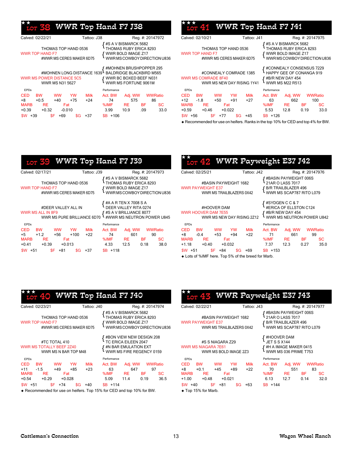#### WWR Top Hand F7 J38 ★★

| Calved: 02/22/21                                                                                                   | Tattoo: J38       |                                                |                      | Reg. #: 20147972       |                                                        | Calved: 02     |      |
|--------------------------------------------------------------------------------------------------------------------|-------------------|------------------------------------------------|----------------------|------------------------|--------------------------------------------------------|----------------|------|
| THOMAS TOP HAND 0536<br><b>WWR TOP HAND F7</b><br>#WWR MS CERES MAKER 6D75                                         |                   |                                                | #S A V BISMARCK 5682 | THOMAS RUBY ERICA 8293 | { WWR BOLD IMAGE Z17<br>{ wWR MS COWBOY DIRECTION U836 | <b>WWR TOF</b> |      |
| 4MOHNEN LONG DISTANCE 1639 BALDRIDGE BLACKBIRD M565#<br><b>WWR MS POWER DISTANCE 5C5</b><br><b>WWR MS N31 5627</b> |                   | WWR BC BOXED BEEF N031<br>WWR MS FORTUNE 9061M |                      |                        |                                                        | <b>WWR MS</b>  |      |
| <b>EPDs</b>                                                                                                        |                   | Performance                                    |                      |                        |                                                        | <b>EPDs</b>    |      |
| <b>CED</b><br><b>BW</b><br><b>WW</b>                                                                               | YW<br><b>Milk</b> | Act. BW                                        | Adj. WW              |                        | <b>WWRatio</b>                                         | <b>CED</b>     | B    |
| +8<br>$+0.5$<br>$+40$                                                                                              | +75<br>$+24$      | 74                                             | 575                  |                        | 86                                                     | $+12$          | $-1$ |
| <b>MARB</b><br><b>RE</b><br>Fat                                                                                    |                   | %IMF                                           | <b>RE</b>            | <b>BF</b>              | <b>SC</b>                                              | <b>MARB</b>    |      |
| $+0.39$<br>$+0.32$<br>$-0.010$                                                                                     |                   | 3.99                                           | 10.9                 | .09                    | 33.0                                                   | $+0.59$        |      |
| \$F.<br>$$W + 39$<br>$+69$                                                                                         | $+37$<br>\$G.     | $$B + 106$                                     |                      |                        |                                                        | $$W$ +56       |      |

| Calved: 02/10/21                                                            |          | Tattoo: J41 |                        |                                     | Reg. #: 20147975                                                                                             |         |
|-----------------------------------------------------------------------------|----------|-------------|------------------------|-------------------------------------|--------------------------------------------------------------------------------------------------------------|---------|
| THOMAS TOP HAND 0536<br><b>WWR TOP HAND F7</b><br>#WWR MS CERES MAKER 6D75  |          |             |                        |                                     | ' #S A V BISMARCK 5682<br>· THOMAS RUBY ERICA 8293<br>′ WWR BOLD IMAGE Z17<br>∙ WWR MS COWBOY DIRECTION U836 |         |
| #CONNEALY COMRADE 1385<br>WWR MS COMRADE 8F40<br>WWR MS NEW DAY RISING 1Y41 |          |             |                        | #B/R NEW DAY 454<br>WWR MS M22 R513 | #CONNEALY CONSENSUS 7229<br>HAPPY GEE OF CONANGA 919                                                         |         |
| <b>FPDs</b><br><b>CED</b><br><b>BW</b><br><b>WW</b>                         | YW       | <b>Milk</b> | Performance<br>Act. BW | Adj. WW                             |                                                                                                              | WWRatio |
| $+12$<br>$-1.8$<br>$+50$                                                    | $+91$    | $+27$       | 63                     | 662                                 |                                                                                                              | 100     |
| <b>MARB</b><br>RE.                                                          | Fat      |             | %IMF                   | -RE                                 | BF -                                                                                                         | SС      |
| $+0.59 +0.46$                                                               | $+0.022$ |             | 5.53                   | 12.8                                | 0.19                                                                                                         | 33.0    |
| \$F.<br>\$W  <br>+56<br>$+77$                                               | \$G      | $+45$       | $$B + 126$             |                                     |                                                                                                              |         |

 $\sqrt{2}$ 

Recommended for use on heifers. Ranks in the top 10% for CED and top 4% for BW.

|           |                                                |                                                  |     |             | LOT 39 WWR Top Hand F7 J39                                                                                                                                      |     |                                                                                  |                                                                                                                                                                                                                                              |                                |
|-----------|------------------------------------------------|--------------------------------------------------|-----|-------------|-----------------------------------------------------------------------------------------------------------------------------------------------------------------|-----|----------------------------------------------------------------------------------|----------------------------------------------------------------------------------------------------------------------------------------------------------------------------------------------------------------------------------------------|--------------------------------|
|           | Calved: 02/17/21                               |                                                  |     | Tattoo: J39 |                                                                                                                                                                 |     | Reg. #: 20147973                                                                 |                                                                                                                                                                                                                                              | Calve                          |
|           | WWR TOP HAND F7                                | THOMAS TOP HAND 0536<br>#WWR MS CERES MAKER 6D75 |     |             | ∫ #S A V BISMARCK 5682                                                                                                                                          |     | THOMAS RUBY ERICA 8293<br>{ WWR BOLD IMAGE Z17<br>{ wWR MS COWBOY DIRECTION U836 |                                                                                                                                                                                                                                              | <b>WWR</b>                     |
|           | WWR MS ALL IN 8F9                              | #DEER VALLEY ALL IN                              |     |             | { #A A R TEN X 7008 S A<br>{ DEER VALLEY RITA 0274<br>LL IN 8F9 [15 A V BRILLIANCE 8077<br>WWR MS PURE BRILLIANCE 6D70 $\frac{1}{4}$ #WWR MS NEUTRON POWER U845 |     |                                                                                  |                                                                                                                                                                                                                                              | <b>WWR</b>                     |
| EPDs      |                                                |                                                  |     |             | Performance                                                                                                                                                     |     |                                                                                  |                                                                                                                                                                                                                                              | <b>EPDs</b>                    |
|           | CED BW WW YW Milk                              |                                                  |     |             | Act. BW Adj. WW WWRatio                                                                                                                                         |     |                                                                                  |                                                                                                                                                                                                                                              | <b>CED</b>                     |
|           | +5 +1.2<br>MARB RE Fat<br>$+0.41 +0.39 +0.013$ | +56                                              |     | +100 +22    | 74<br>%IMF RE BF<br>4.33 12.5 0.18                                                                                                                              | 601 |                                                                                  | 90<br>SC and the set of the set of the set of the set of the set of the set of the set of the set of the set of the set of the set of the set of the set of the set of the set of the set of the set of the set of the set of the se<br>38.0 | $+8$<br><b>MARI</b><br>$+1.18$ |
| $$W + 51$ |                                                | $$F$ +81                                         | \$G | +37         | $SB + 118$                                                                                                                                                      |     |                                                                                  |                                                                                                                                                                                                                                              | $SW -$                         |

| $\star_{_{\rm{LOT}}}^{\star}$ 42 WWR Payweight E37 J42 |
|--------------------------------------------------------|

| Calved: 02/25/21                                                              | Tattoo: J42                                          | Reg. #: 20147976                                                                             |  |  |  |
|-------------------------------------------------------------------------------|------------------------------------------------------|----------------------------------------------------------------------------------------------|--|--|--|
| #BASIN PAYWEIGHT 1682<br><b>WWR PAYWEIGHT E37</b><br>WWR MS TRAILBLAZERS 0X42 |                                                      | #BASIN PAYWEIGHT 006S<br>21AR O LASS 7017<br>B/R TRAILBLAZER 496<br>WWR MS SCAP787 RITO L079 |  |  |  |
| #HOOVER DAM<br><b>WWR HOOVER DAM 7E55</b><br>WWR MS NEW DAY RISING 2Z12       |                                                      | #SYDGEN C C & 7<br>#ERICA OF ELLSTON C124<br>#B/R NEW DAY 454<br>WWR MS NEUTRON POWER U842   |  |  |  |
| <b>FPDs</b>                                                                   | Performance                                          |                                                                                              |  |  |  |
| <b>CED</b><br><b>BW</b><br><b>WW</b><br>+8<br>$-0.4$<br>$+53$                 | <b>Milk</b><br>YW<br>Act. BW<br>$+94$<br>$+22$<br>71 | <b>WWRatio</b><br>Adj. WW<br>661<br>99                                                       |  |  |  |
| <b>MARB</b><br>RE<br>Fat                                                      | %IMF                                                 | RE<br><b>SC</b><br>ΒF                                                                        |  |  |  |
| $+1.18$<br>$+0.40$<br>$+0.032$                                                | 7.37                                                 | 35.0<br>12.3<br>0.27                                                                         |  |  |  |
| \$F<br>$+84$<br>\$W.<br>$+51$                                                 | \$G<br>+69<br>$SB + 153$                             |                                                                                              |  |  |  |

Lots of %IMF here. Top 5% of the breed for Marb.

| <u> 10т 40</u>                                                           | <b>WWR Top Hand F7 J40</b>                                  |                                                                                                          |                                                  |                                                                  |                  |                         |
|--------------------------------------------------------------------------|-------------------------------------------------------------|----------------------------------------------------------------------------------------------------------|--------------------------------------------------|------------------------------------------------------------------|------------------|-------------------------|
| Calved: 02/23/21                                                         |                                                             | Tattoo: J40                                                                                              |                                                  |                                                                  | Reg. #: 20147974 |                         |
| <b>WWR TOP HAND F7</b>                                                   | THOMAS TOP HAND 0536<br>#WWR MS CERES MAKER 6D75            |                                                                                                          | WWR BOLD IMAGE Z17<br>WWRMSCOWBOY DIRECTION U836 | <b>{</b> #S A V BISMARCK 5682<br><b>}</b> THOMAS RUBY ERICA 8293 |                  |                         |
| #TC TOTAL 410<br><b>WWR MS TOTALLY BEEF 2Z40</b><br>WWR MS N BAR TOP M48 |                                                             | { #BON VIEW NEW DESIGN 208<br>{ TC ERICA EILEEN 2047<br>#N BAR EMULATION EXT<br>WWR MS FIRE REGENCY 0159 |                                                  |                                                                  |                  |                         |
| <b>FPDs</b>                                                              |                                                             |                                                                                                          | Performance                                      |                                                                  |                  |                         |
| <b>CED</b><br><b>BW</b><br>$+11 - 1.5$<br>MARB RE<br>$+0.54 +0.29$       | <b>YW</b><br><b>WW</b><br>$+49$<br>$+85$<br>Fat<br>$+0.028$ | <b>Milk</b><br>$+23$                                                                                     | Act. BW<br>63<br>%IMF RE BF<br>5.09              | Adj. WW WWRatio<br>647<br>11.4                                   | 0.19             | 97<br><b>SC</b><br>36.5 |
| $SW + 51$                                                                | \$F .<br>$+74$                                              | \$G<br>+40                                                                                               | $SB + 114$                                       |                                                                  |                  |                         |

{ { { #Basin Payweight 006S WWR PAYWEIGHT E37 (B/R TRAILBLAZER 496)<br>DAMP MS TRAILBLAZER 0X42 #BASIN PAYWEIGHT 1682<br>WWR PAYWEIGHT E37 WWR Ms Trailblazers 0X42 WWR Ms Scap787 Rito L079 #HOOVER DAI #S S NIAGARA Z29 WWR MS NIAGARA 7E61 WWR MS BOLD IMAGE 2Z3 Calved: 02/22/21 Tattoo: J43 Reg. #: 20147977

 $_{\mathrm{OT}}$  43 WWR Payweight E37 J43

#### CED BW WW YW Milk Act. BW Adj. WW WWRatio +8 +0.1 +45 +89 +22 70 551 83 EPDs Performance ◆ Top 15% for Marb. MARB RE Fat %IMF RE BF SC +1.00 +0.48 +0.021 6.13 12.7 0.14 32.0 \$W +40 \$F +81 \$G +63 \$B +144

| 【 #HOOVER DAM<br>【 JET S S X144<br><b>{ #H A IMAGE MAKER 0415<br/>WWR MS 036 PRIME T753</b> |      |                 |      |  |  |  |  |
|---------------------------------------------------------------------------------------------|------|-----------------|------|--|--|--|--|
| Performance                                                                                 |      |                 |      |  |  |  |  |
| Act. BW                                                                                     |      | Adj. WW WWRatio |      |  |  |  |  |
| 70                                                                                          | 551  |                 | 83   |  |  |  |  |
| %IMF                                                                                        | RE   | ВF              | SC   |  |  |  |  |
| 6.13                                                                                        | 12.7 | 0.14            | 32 O |  |  |  |  |
|                                                                                             |      |                 |      |  |  |  |  |

Recommended for use on heifers. Top 15% for CED and top 10% for BW.

★★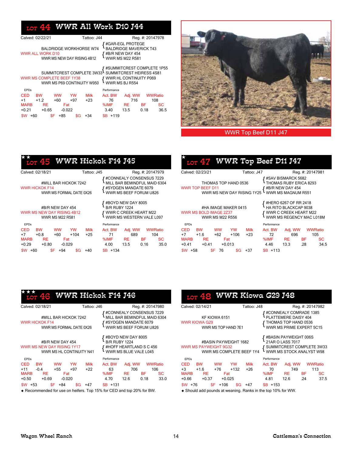## $_{\text{LOT}}$  44 WWR All Work D10 J44

| Calved: 02/22/21        | Tattoo: J44                                                  | Reg. #: 20147978                                                                                           |
|-------------------------|--------------------------------------------------------------|------------------------------------------------------------------------------------------------------------|
| <b>WWR ALL WORK D10</b> | <b>BALDRIDGE WORKHORSE W74</b><br>WWR MS NEW DAY RISING 4B12 | <b>{</b> #GAR-EGL PROTEGE<br>BALDRIDGE MAVERICK T43<br>{ #B/R NEW DAY 454<br>{ wWR MS M22 R581             |
|                         | WWR MS COMPLETE BEEF 1Y38<br>WWR MS P69 CONTINUITY W950      | SUMMITCREST COMPLETE 1P55<br>SUMMITCREST COMPLETE 3W334 SUMMITCREST HEIRESS 4S81<br>WWR HL CONTINUITY P069 |

| <b>EPDs</b> |           |           |          |                 | Performance |      |                 |      |
|-------------|-----------|-----------|----------|-----------------|-------------|------|-----------------|------|
| <b>CED</b>  | <b>BW</b> | <b>WW</b> | YW       | <b>Milk</b>     | Act. BW     |      | Adi. WW WWRatio |      |
| $+1$        | $+12$     | $+60$     | $+97$    | $+23$           | 76          | 716  |                 | 108  |
| <b>MARB</b> | RE.       |           | Fat      |                 | %IMF        | RE.  | <b>BF</b>       | SC.  |
| $+0.21$     | $+0.65$   |           | $-0.022$ |                 | 3.40        | 13.5 | 0.18            | 36.5 |
| $SW + 60$   |           | $SF + 85$ |          | $\sqrt{$G}$ +34 | $SB + 119$  |      |                 |      |

★★



#### WWR Top Beef D11 J47

| <b>LOT 45</b>                                                                                                                                      | WWR Hickok F14 J45                             |                                                                                                            |                                                            |  |  |
|----------------------------------------------------------------------------------------------------------------------------------------------------|------------------------------------------------|------------------------------------------------------------------------------------------------------------|------------------------------------------------------------|--|--|
| Calved: 02/18/21                                                                                                                                   | Tattoo: J45                                    |                                                                                                            | Reg. #: 20147979                                           |  |  |
| #MILL BAR HICKOK 7242<br>WWR HICKOK F14<br>WWR MS FORMAL DATE 0X26                                                                                 |                                                | #CONNEALY CONSENSUS 7229<br>MILL BAR BEMINDFUL MAID 6304<br>#SYDGEN MANDATE 6079<br>WWR MS BEEF FORUM U826 |                                                            |  |  |
| #B/R NEW DAY 454<br>WWR MS NEW DAY RISING 4B12<br><b>WWR MS M22 R581</b>                                                                           |                                                | #BOYD NEW DAY 8005<br>B/R RUBY 1224<br>WWR C CREEK HEART M22<br>WWR MS WESTERN VALE L097                   |                                                            |  |  |
| <b>FPDs</b>                                                                                                                                        | Performance                                    |                                                                                                            |                                                            |  |  |
| <b>CED</b><br><b>BW</b><br><b>WW</b><br><b>YW</b><br>$+7 +0.8$<br>+60<br>$+104$<br><b>MARB</b><br><b>RE</b><br>Fat<br>+0.29<br>$+0.80$<br>$-0.029$ | Milk<br>Act. BW<br>71<br>$+25$<br>%IMF<br>4.00 | Adj. WW<br>689<br>RE.<br>13.5                                                                              | <b>WWRatio</b><br>104<br>BF -<br><b>SC</b><br>35.0<br>0.16 |  |  |
| \$W<br>\$F<br>+94<br>+60                                                                                                                           | $SB + 134$<br>\$G<br>$+40$                     |                                                                                                            |                                                            |  |  |

| LOT 47 WWR Top Beef D11 J47                                              |                        |                                                                                                     |                        |
|--------------------------------------------------------------------------|------------------------|-----------------------------------------------------------------------------------------------------|------------------------|
| Calved: 02/23/21                                                         | Tattoo: J47            |                                                                                                     | Reg. #: 20147981       |
| THOMAS TOP HAND 0536<br>WWR TOP BEEF D11<br>WWR MS NEW DAY RISING 1Y25   |                        | #SAV BISMARCK 5682<br>THOMAS RUBY ERICA 8293<br>#B/R NEW DAY 454<br>WWR MS MAGNUM R551              |                        |
| #HA IMAGE MAKER 0415<br>WWR MS BOLD IMAGE 2Z37<br><b>WWR MS M22 R556</b> |                        | #HERO 6267 OF RR 2418<br>HA RITO BLACKCAP 9038<br>WWR C CREEK HEART M22<br>WWR MS REGENCY MAC L018M |                        |
| <b>FPDs</b>                                                              | Performance            |                                                                                                     |                        |
| <b>CED</b><br><b>BW</b><br><b>WW</b><br><b>YW</b>                        | <b>Milk</b><br>Act. BW | Adj. WW                                                                                             | WWRatio                |
| $+7$<br>$+62$<br>$+106$<br>$+1.6$<br><b>MARB</b><br>RE.<br>Fat           | $+23$<br>%IMF          | 696<br>72<br>RE.                                                                                    | 105<br><b>BF</b><br>SC |
| $+0.41$<br>$+0.41$<br>$+0.013$                                           | 4.46                   | 13.3                                                                                                | 34.5<br>.28            |
| \$F<br>\$W.<br>+58<br>76<br>\$G                                          | $SB + 113$<br>+37      |                                                                                                     |                        |

| 46                                                                                                          | <b>WWR Hickok F14 J46</b>                                                               |                                                                                                            |                                     |                   |                                     |
|-------------------------------------------------------------------------------------------------------------|-----------------------------------------------------------------------------------------|------------------------------------------------------------------------------------------------------------|-------------------------------------|-------------------|-------------------------------------|
| Calved: 02/18/21                                                                                            | Tattoo: J46                                                                             |                                                                                                            |                                     |                   | Reg. #: 20147980                    |
| <b>WWR HICKOK F14</b>                                                                                       | #MILL BAR HICKOK 7242<br>WWR MS FORMAL DATE 0X26                                        | #CONNEALY CONSENSUS 7229<br>MILL BAR BEMINDFUL MAID 6304<br>#SYDGEN MANDATE 6079<br>WWR MS BEEF FORUM U826 |                                     |                   |                                     |
| #B/R NEW DAY 454<br>WWR MS NEW DAY RISING 1Y17<br>WWR MS HL CONTINUITY N41                                  | #BOYD NEW DAY 8005<br>B/R RUBY 1224<br>#HOFF HEARTLAND S C 456<br>WWR MS BLUE VALE L045 |                                                                                                            |                                     |                   |                                     |
| <b>EPDs</b>                                                                                                 |                                                                                         | Performance                                                                                                |                                     |                   |                                     |
| CED<br><b>BW</b><br><b>WW</b><br>$+11$<br>$-0.4$<br>$+55$<br><b>MARB</b><br><b>RE</b><br>$+0.69$<br>$+0.50$ | <b>Milk</b><br><b>YW</b><br>$+97$<br>$+22$<br>Fat<br>$-0.020$                           | Act. BW<br>63<br>%IMF<br>4.70                                                                              | Adj. WW<br>706<br><b>RE</b><br>12.6 | <b>BF</b><br>0.18 | <b>WWRatio</b><br>106<br>SC<br>33.0 |
| \$F<br>$$W + 53$<br>+84                                                                                     | \$G<br>+47                                                                              | $$B +131$                                                                                                  |                                     |                   |                                     |

Recommended for use on heifers. Top 15% for CED and top 20% for BW.

|                                                                                   | <u> тот 48</u>       |                                      |           |                                                                                                    | <b>WWR Kiowa G29 J48</b>                                                              |         |                                                                                                    |         |
|-----------------------------------------------------------------------------------|----------------------|--------------------------------------|-----------|----------------------------------------------------------------------------------------------------|---------------------------------------------------------------------------------------|---------|----------------------------------------------------------------------------------------------------|---------|
|                                                                                   | Calved: 02/14/21     |                                      |           | Tattoo: J48                                                                                        |                                                                                       |         | Reg. #: 20147982                                                                                   |         |
|                                                                                   | <b>WWR KIOWA G29</b> | KF KIOWA 6151<br>WWR MS TOP HAND 7E1 |           | #CONNEALY COMRADE 1385<br>PLATTEMERE DAISY 404<br>THOMAS TOP HAND 0536<br>WWR MS PRIME EXPERT 5C15 |                                                                                       |         |                                                                                                    |         |
| #BASIN PAYWEIGHT 1682<br><b>WWR MS PAYWEIGHT 9G32</b><br>WWR MS COMPLETE BEEF 1Y4 |                      |                                      |           |                                                                                                    |                                                                                       |         | #BASIN PAYWEIGHT 006S<br>21AR O LASS 7017<br>SUMMITCREST COMPLETE 3W33<br>WWR MS STOCK ANALYST W98 |         |
| <b>FPDs</b>                                                                       |                      |                                      |           |                                                                                                    | Performance                                                                           |         |                                                                                                    |         |
| CED BW                                                                            |                      | <b>WW</b>                            | <b>YW</b> | <b>Milk</b>                                                                                        | Act. BW                                                                               | Adj. WW |                                                                                                    | WWRatio |
| $+3 +1.6$                                                                         |                      | +76                                  | +132      | +26                                                                                                | 70                                                                                    |         | 749                                                                                                | 113     |
| <b>MARB</b>                                                                       | RE                   | Fat                                  |           |                                                                                                    | %IMF RE                                                                               |         | BF -                                                                                               | SС      |
|                                                                                   | $+0.66 +0.37$        | $+0.025$                             |           |                                                                                                    | 4.81                                                                                  | 12.6    | .24                                                                                                | 37.5    |
| $SW +76$                                                                          |                      | $SF + 106$                           | \$G       | +47                                                                                                | $SB + 153$                                                                            |         |                                                                                                    |         |
|                                                                                   |                      |                                      |           |                                                                                                    | $\sim$ 0.5 and a did a second a second section. Deprise to the teacher 4.00/ fact MAM |         |                                                                                                    |         |

Should add pounds at weaning. Ranks in the top 10% for WW.

大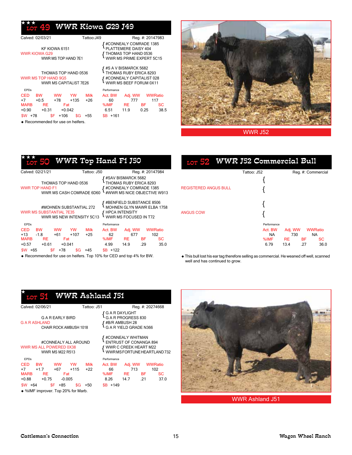#### WWR Kiowa **G**29 J49 ★★★

| Calved: 02/03/21                                                                     |                                                     | Tattoo:J49  |                                                                                                      |                                                                                                    | Reg. #: 20147983                    |            |
|--------------------------------------------------------------------------------------|-----------------------------------------------------|-------------|------------------------------------------------------------------------------------------------------|----------------------------------------------------------------------------------------------------|-------------------------------------|------------|
| KF KIOWA 6151<br>WWR KIOWA G29                                                       | WWR MS TOP HAND 7E1                                 |             |                                                                                                      | #CONNEALY COMRADE 1385<br>PLATTEMERE DAISY 404<br>THOMAS TOP HAND 0536<br>WWR MS PRIME EXPERT 5C15 |                                     |            |
| THOMAS TOP HAND 0536<br>WWR MS TOP HAND 9G5<br>WWR MS CAPITALIST 7E26                |                                                     |             | #S A V BISMARCK 5682<br>THOMAS RUBY ERICA 8293<br>#CONNEALY CAPITALIST 028<br>WWR MS BEEF FORUM 0X11 |                                                                                                    |                                     |            |
| <b>EPDs</b>                                                                          |                                                     |             | Performance                                                                                          |                                                                                                    |                                     |            |
| CED<br><b>BW</b><br>$+7$<br>$+0.5$<br><b>MARB</b><br><b>RE</b><br>$+0.90$<br>$+0.31$ | <b>WW</b><br>YW<br>+78<br>$+135$<br>Fat<br>$+0.042$ | Milk<br>+26 | Act. BW<br>60<br>%IMF<br>6.51                                                                        | Adj. WW<br>777<br><b>RE</b><br>11.9                                                                | <b>WWRatio</b><br>117<br>BF<br>0.25 | SС<br>38.5 |
| \$F<br>\$W.<br>+78                                                                   | $+106$<br>\$G                                       | +55         | $$B + 161$                                                                                           |                                                                                                    |                                     |            |



WWR J52

#### lot 50 WWR Top Hand F1 J50 ★★★

Recommended for use on heifers.

| Calved: 02/21/21                                                                                                                                                                        | Tattoo: J50                                                                                              | Reg. #: 20147984                                                                                                                                  |  |  |  |
|-----------------------------------------------------------------------------------------------------------------------------------------------------------------------------------------|----------------------------------------------------------------------------------------------------------|---------------------------------------------------------------------------------------------------------------------------------------------------|--|--|--|
| THOMAS TOP HAND 0536<br><b>WWR TOP HAND F1</b><br>WWR MS CASH COMRADE 6D60                                                                                                              |                                                                                                          | #SAV BISMARCK 5682<br>THOMAS RUBY ERICA 8293<br>#CONNEALY COMRADE 1385<br>#WWR MS NICE OBJECTIVE W913                                             |  |  |  |
| #MOHNEN SUBSTANTIAL 272<br><b>WWR MS SUBSTANTIAL 7E35</b><br>WWR MS NEW INTENSITY 5C13                                                                                                  | #BENFIELD SUBSTANCE 8506<br>MOHNEN GLYN MAWR ELBA 1758<br><b>HPCA INTENSITY</b><br>WWR MS FOCUSED IN T72 |                                                                                                                                                   |  |  |  |
| <b>FPDs</b><br><b>CED</b><br><b>BW</b><br>ww<br>YW<br>$+13$<br>$-1.8$<br>$+107$<br>+61<br><b>MARB</b><br>RE.<br>Fat<br>$+0.57$<br>$+0.61$<br>$+0.041$<br>\$F<br>+78<br>\$W<br>+65<br>SG | Milk<br>$+25$<br>+45                                                                                     | Performance<br>Act. BW<br><b>WWRatio</b><br>Adj. WW<br>62<br>677<br>102<br>%IMF<br>BF.<br>SC<br>RE.<br>35.0<br>4.99<br>14.9<br>.29<br>+122<br>SB. |  |  |  |

Recommended for use on heifers. Top 10% for CED and top 4% for BW.

## 5<mark>2</mark> WWR J52 Commercial Bull

|                              | Tattoo: J52          |                | Reg. #: Commercial   |           |  |
|------------------------------|----------------------|----------------|----------------------|-----------|--|
| <b>REGISTERED ANGUS BULL</b> |                      |                |                      |           |  |
|                              |                      |                |                      |           |  |
|                              |                      |                |                      |           |  |
| <b>ANGUS COW</b>             |                      |                |                      |           |  |
|                              | Performance          |                |                      |           |  |
|                              | Act. BW<br><b>NA</b> | Adj. WW<br>730 | WWRatio<br><b>NA</b> |           |  |
|                              | %IMF                 | RE.            | <b>BF</b>            | <b>SC</b> |  |
|                              | 6.79                 | 13.4           | .27                  | 36.0      |  |

 This bull lost his ear tag therefore selling as commercial. He weaned off well, scanned well and has continued to grow.

| WWR Ashland J51<br><b>LOT 51</b>                                          |                |                    |                                                                                        |                  |                                                       |  |  |  |  |
|---------------------------------------------------------------------------|----------------|--------------------|----------------------------------------------------------------------------------------|------------------|-------------------------------------------------------|--|--|--|--|
| Calved: 02/06/21                                                          | Tattoo: J51    |                    |                                                                                        | Reg. #: 20274668 |                                                       |  |  |  |  |
| G A R EARLY BIRD<br><b>G A R ASHLAND</b><br>CHAIR ROCK AMBUSH 1018        |                |                    | ' G A R DAYLIGHT<br>• G A R PROGRESS 830<br>f #B/R AMBUSH 28<br>G A R YIELD GRADE N366 |                  |                                                       |  |  |  |  |
| #CONNEALY ALL AROUND<br>WWR MS ALL POWERED 0X38<br><b>WWR MS M22 R513</b> |                |                    | #CONNEALY WHITMAN<br>ENTRUST OF CONANGA 894                                            |                  | WWR C CREEK HEART M22<br>WWR MS FORTUNE HEARTLAND 732 |  |  |  |  |
| <b>FPDs</b>                                                               |                | Performance        |                                                                                        |                  |                                                       |  |  |  |  |
| CED BW<br><b>WW</b><br><b>YW</b>                                          | <b>Milk</b>    | Act. BW            |                                                                                        | Adj. WW WWRatio  |                                                       |  |  |  |  |
| $+7$ $+1.7$<br>$+115$<br>+67                                              | $+22$          | 66                 | 713                                                                                    |                  | 102                                                   |  |  |  |  |
| <b>MARB</b><br>Fat<br>RE<br>$+0.88$<br>$+0.75$<br>$-0.005$                |                | %IMF RE BF<br>8.26 | 14.7                                                                                   | .21              | <b>SC</b><br>37 O                                     |  |  |  |  |
| $$F + 85$<br>\$W +64                                                      | \$G  <br>$+50$ | $SB + 149$         |                                                                                        |                  |                                                       |  |  |  |  |
| ◆ %IMF improver. Top 20% for Marb.                                        |                |                    |                                                                                        |                  |                                                       |  |  |  |  |
|                                                                           |                |                    |                                                                                        |                  |                                                       |  |  |  |  |



WWR Ashland J51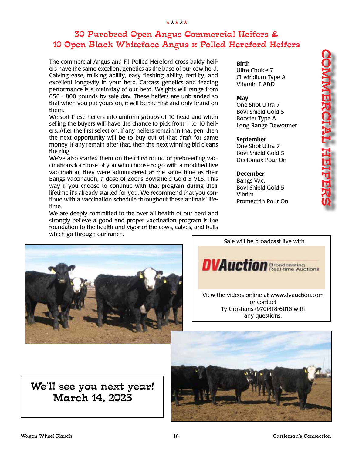## 30 Purebred Open Angus Commercial Heifers & 10 Open Black Whiteface Angus x Polled Hereford Heifers

The commercial Angus and F1 Polled Hereford cross baldy heifers have the same excellent genetics as the base of our cow herd. Calving ease, milking ability, easy fleshing ability, fertility, and excellent longevity in your herd. Carcass genetics and feeding performance is a mainstay of our herd. Weights will range from 650 - 800 pounds by sale day. These heifers are unbranded so that when you put yours on, it will be the first and only brand on them.

We sort these heifers into uniform groups of 10 head and when selling the buyers will have the chance to pick from 1 to 10 heifers. After the first selection, if any heifers remain in that pen, then the next opportunity will be to buy out of that draft for same money. If any remain after that, then the next winning bid cleans the ring.

We've also started them on their first round of prebreeding vaccinations for those of you who choose to go with a modified live vaccination, they were administered at the same time as their Bangs vaccination, a dose of Zoetis Bovishield Gold 5 VL5. This way if you choose to continue with that program during their lifetime it's already started for you. We recommend that you continue with a vaccination schedule throughout these animals' lifetime.

We are deeply committed to the over all health of our herd and strongly believe a good and proper vaccination program is the foundation to the health and vigor of the cows, calves, and bulls which go through our ranch.





Promectrin Pour On

Birth

May

Ultra Choice 7 Clostridium Type A Vitamin E,A&D

One Shot Ultra 7 Bovi Shield Gold 5 Booster Type A

September One Shot Ultra 7 Bovi Shield Gold 5 Dectomax Pour On

December Bangs Vac. Bovi Shield Gold 5

Vibrim

Long Range Dewormer

We'll see you next year! March 14, 2023



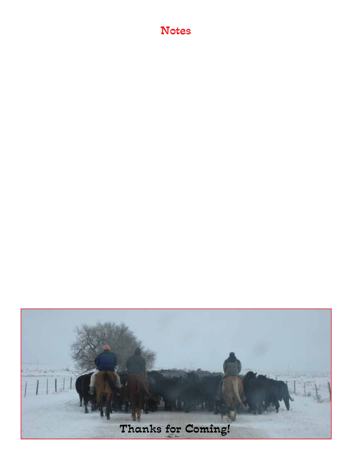## Notes